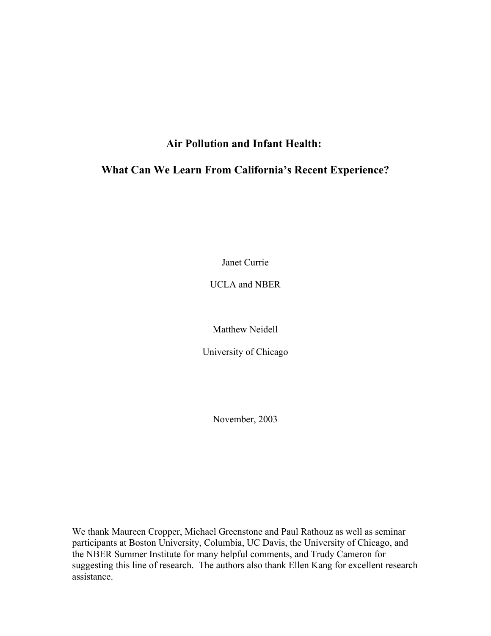## **Air Pollution and Infant Health:**

# **What Can We Learn From California's Recent Experience?**

Janet Currie

UCLA and NBER

Matthew Neidell

University of Chicago

November, 2003

We thank Maureen Cropper, Michael Greenstone and Paul Rathouz as well as seminar participants at Boston University, Columbia, UC Davis, the University of Chicago, and the NBER Summer Institute for many helpful comments, and Trudy Cameron for suggesting this line of research. The authors also thank Ellen Kang for excellent research assistance.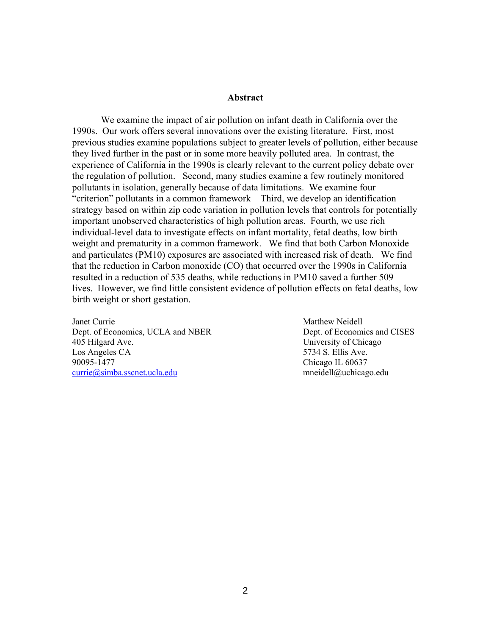#### **Abstract**

We examine the impact of air pollution on infant death in California over the 1990s. Our work offers several innovations over the existing literature. First, most previous studies examine populations subject to greater levels of pollution, either because they lived further in the past or in some more heavily polluted area. In contrast, the experience of California in the 1990s is clearly relevant to the current policy debate over the regulation of pollution. Second, many studies examine a few routinely monitored pollutants in isolation, generally because of data limitations. We examine four "criterion" pollutants in a common framework Third, we develop an identification strategy based on within zip code variation in pollution levels that controls for potentially important unobserved characteristics of high pollution areas. Fourth, we use rich individual-level data to investigate effects on infant mortality, fetal deaths, low birth weight and prematurity in a common framework. We find that both Carbon Monoxide and particulates (PM10) exposures are associated with increased risk of death. We find that the reduction in Carbon monoxide (CO) that occurred over the 1990s in California resulted in a reduction of 535 deaths, while reductions in PM10 saved a further 509 lives. However, we find little consistent evidence of pollution effects on fetal deaths, low birth weight or short gestation.

Janet Currie Matthew Neidell Matthew Neidell Dept. of Economics, UCLA and NBER Dept. of Economics and CISES 405 Hilgard Ave. University of Chicago Los Angeles CA 5734 S. Ellis Ave. 90095-1477 Chicago IL 60637 currie@simba.sscnet.ucla.edu mneidell@uchicago.edu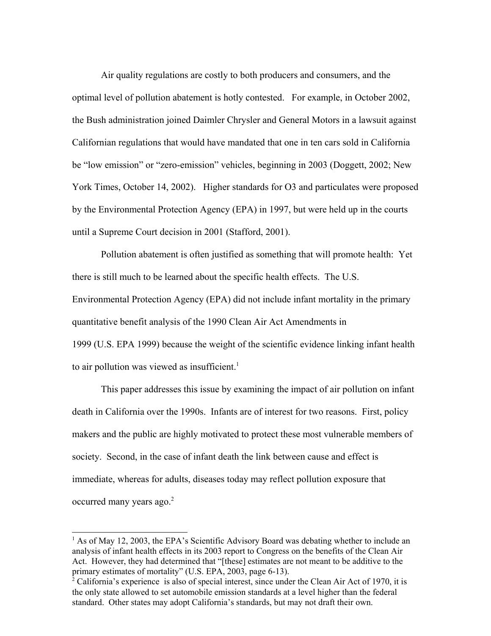Air quality regulations are costly to both producers and consumers, and the optimal level of pollution abatement is hotly contested. For example, in October 2002, the Bush administration joined Daimler Chrysler and General Motors in a lawsuit against Californian regulations that would have mandated that one in ten cars sold in California be "low emission" or "zero-emission" vehicles, beginning in 2003 (Doggett, 2002; New York Times, October 14, 2002). Higher standards for O3 and particulates were proposed by the Environmental Protection Agency (EPA) in 1997, but were held up in the courts until a Supreme Court decision in 2001 (Stafford, 2001).

Pollution abatement is often justified as something that will promote health: Yet there is still much to be learned about the specific health effects. The U.S. Environmental Protection Agency (EPA) did not include infant mortality in the primary quantitative benefit analysis of the 1990 Clean Air Act Amendments in 1999 (U.S. EPA 1999) because the weight of the scientific evidence linking infant health to air pollution was viewed as insufficient. $1$ 

 This paper addresses this issue by examining the impact of air pollution on infant death in California over the 1990s. Infants are of interest for two reasons. First, policy makers and the public are highly motivated to protect these most vulnerable members of society. Second, in the case of infant death the link between cause and effect is immediate, whereas for adults, diseases today may reflect pollution exposure that occurred many years ago.<sup>2</sup>

 $<sup>1</sup>$  As of May 12, 2003, the EPA's Scientific Advisory Board was debating whether to include an</sup> analysis of infant health effects in its 2003 report to Congress on the benefits of the Clean Air Act. However, they had determined that "[these] estimates are not meant to be additive to the primary estimates of mortality" (U.S. EPA, 2003, page 6-13).

 $2^2$  California's experience is also of special interest, since under the Clean Air Act of 1970, it is the only state allowed to set automobile emission standards at a level higher than the federal standard. Other states may adopt California's standards, but may not draft their own.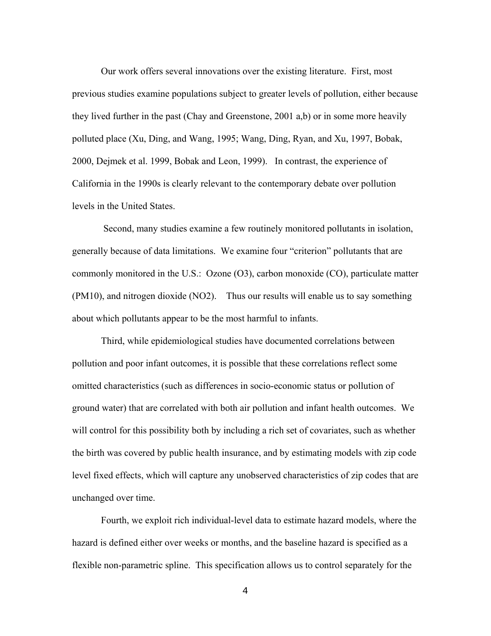Our work offers several innovations over the existing literature. First, most previous studies examine populations subject to greater levels of pollution, either because they lived further in the past (Chay and Greenstone, 2001 a,b) or in some more heavily polluted place (Xu, Ding, and Wang, 1995; Wang, Ding, Ryan, and Xu, 1997, Bobak, 2000, Dejmek et al. 1999, Bobak and Leon, 1999). In contrast, the experience of California in the 1990s is clearly relevant to the contemporary debate over pollution levels in the United States.

 Second, many studies examine a few routinely monitored pollutants in isolation, generally because of data limitations. We examine four "criterion" pollutants that are commonly monitored in the U.S.: Ozone (O3), carbon monoxide (CO), particulate matter (PM10), and nitrogen dioxide (NO2). Thus our results will enable us to say something about which pollutants appear to be the most harmful to infants.

Third, while epidemiological studies have documented correlations between pollution and poor infant outcomes, it is possible that these correlations reflect some omitted characteristics (such as differences in socio-economic status or pollution of ground water) that are correlated with both air pollution and infant health outcomes. We will control for this possibility both by including a rich set of covariates, such as whether the birth was covered by public health insurance, and by estimating models with zip code level fixed effects, which will capture any unobserved characteristics of zip codes that are unchanged over time.

Fourth, we exploit rich individual-level data to estimate hazard models, where the hazard is defined either over weeks or months, and the baseline hazard is specified as a flexible non-parametric spline. This specification allows us to control separately for the

4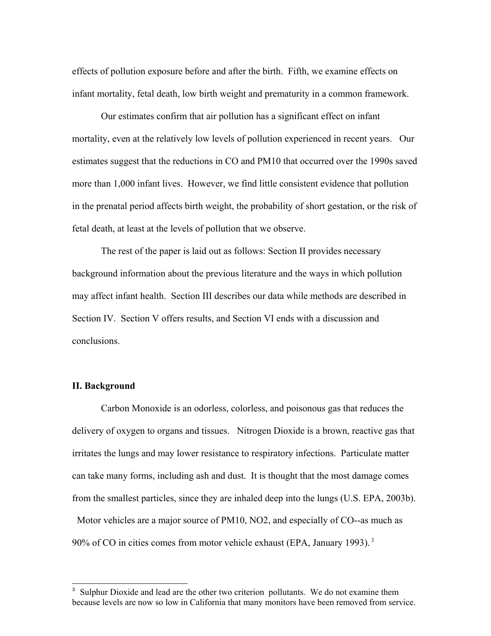effects of pollution exposure before and after the birth. Fifth, we examine effects on infant mortality, fetal death, low birth weight and prematurity in a common framework.

Our estimates confirm that air pollution has a significant effect on infant mortality, even at the relatively low levels of pollution experienced in recent years. Our estimates suggest that the reductions in CO and PM10 that occurred over the 1990s saved more than 1,000 infant lives. However, we find little consistent evidence that pollution in the prenatal period affects birth weight, the probability of short gestation, or the risk of fetal death, at least at the levels of pollution that we observe.

The rest of the paper is laid out as follows: Section II provides necessary background information about the previous literature and the ways in which pollution may affect infant health. Section III describes our data while methods are described in Section IV. Section V offers results, and Section VI ends with a discussion and conclusions.

#### **II. Background**

Carbon Monoxide is an odorless, colorless, and poisonous gas that reduces the delivery of oxygen to organs and tissues. Nitrogen Dioxide is a brown, reactive gas that irritates the lungs and may lower resistance to respiratory infections. Particulate matter can take many forms, including ash and dust. It is thought that the most damage comes from the smallest particles, since they are inhaled deep into the lungs (U.S. EPA, 2003b). Motor vehicles are a major source of PM10, NO2, and especially of CO--as much as 90% of CO in cities comes from motor vehicle exhaust (EPA, January 1993). 3

<sup>&</sup>lt;sup>3</sup> Sulphur Dioxide and lead are the other two criterion pollutants. We do not examine them because levels are now so low in California that many monitors have been removed from service.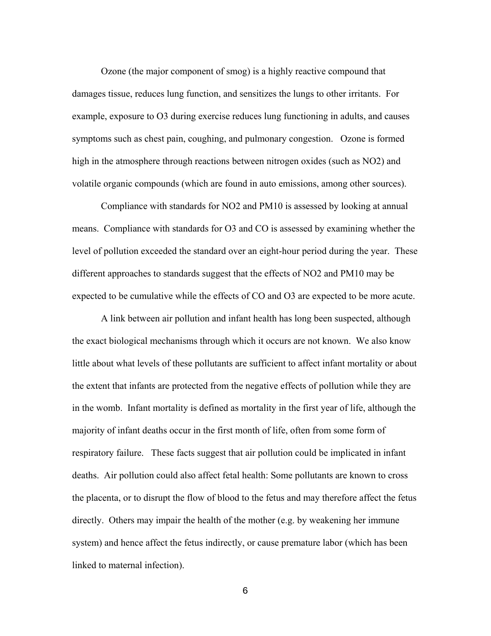Ozone (the major component of smog) is a highly reactive compound that damages tissue, reduces lung function, and sensitizes the lungs to other irritants. For example, exposure to O3 during exercise reduces lung functioning in adults, and causes symptoms such as chest pain, coughing, and pulmonary congestion. Ozone is formed high in the atmosphere through reactions between nitrogen oxides (such as NO2) and volatile organic compounds (which are found in auto emissions, among other sources).

Compliance with standards for NO2 and PM10 is assessed by looking at annual means. Compliance with standards for O3 and CO is assessed by examining whether the level of pollution exceeded the standard over an eight-hour period during the year. These different approaches to standards suggest that the effects of NO2 and PM10 may be expected to be cumulative while the effects of CO and O3 are expected to be more acute.

A link between air pollution and infant health has long been suspected, although the exact biological mechanisms through which it occurs are not known. We also know little about what levels of these pollutants are sufficient to affect infant mortality or about the extent that infants are protected from the negative effects of pollution while they are in the womb. Infant mortality is defined as mortality in the first year of life, although the majority of infant deaths occur in the first month of life, often from some form of respiratory failure. These facts suggest that air pollution could be implicated in infant deaths. Air pollution could also affect fetal health: Some pollutants are known to cross the placenta, or to disrupt the flow of blood to the fetus and may therefore affect the fetus directly. Others may impair the health of the mother (e.g. by weakening her immune system) and hence affect the fetus indirectly, or cause premature labor (which has been linked to maternal infection).

6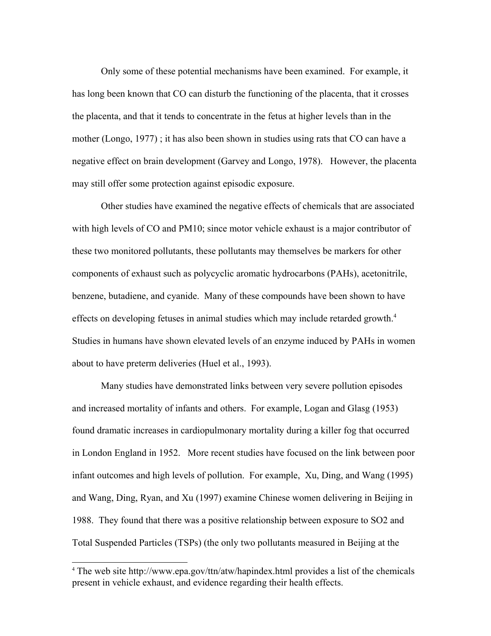Only some of these potential mechanisms have been examined. For example, it has long been known that CO can disturb the functioning of the placenta, that it crosses the placenta, and that it tends to concentrate in the fetus at higher levels than in the mother (Longo, 1977) ; it has also been shown in studies using rats that CO can have a negative effect on brain development (Garvey and Longo, 1978). However, the placenta may still offer some protection against episodic exposure.

Other studies have examined the negative effects of chemicals that are associated with high levels of CO and PM10; since motor vehicle exhaust is a major contributor of these two monitored pollutants, these pollutants may themselves be markers for other components of exhaust such as polycyclic aromatic hydrocarbons (PAHs), acetonitrile, benzene, butadiene, and cyanide. Many of these compounds have been shown to have effects on developing fetuses in animal studies which may include retarded growth.<sup>4</sup> Studies in humans have shown elevated levels of an enzyme induced by PAHs in women about to have preterm deliveries (Huel et al., 1993).

Many studies have demonstrated links between very severe pollution episodes and increased mortality of infants and others. For example, Logan and Glasg (1953) found dramatic increases in cardiopulmonary mortality during a killer fog that occurred in London England in 1952. More recent studies have focused on the link between poor infant outcomes and high levels of pollution. For example, Xu, Ding, and Wang (1995) and Wang, Ding, Ryan, and Xu (1997) examine Chinese women delivering in Beijing in 1988. They found that there was a positive relationship between exposure to SO2 and Total Suspended Particles (TSPs) (the only two pollutants measured in Beijing at the

<sup>&</sup>lt;sup>4</sup> The web site http://www.epa.gov/ttn/atw/hapindex.html provides a list of the chemicals present in vehicle exhaust, and evidence regarding their health effects.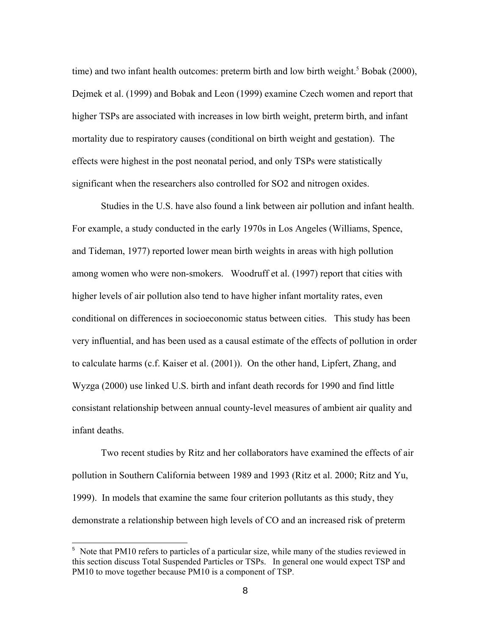time) and two infant health outcomes: preterm birth and low birth weight.<sup>5</sup> Bobak (2000), Dejmek et al. (1999) and Bobak and Leon (1999) examine Czech women and report that higher TSPs are associated with increases in low birth weight, preterm birth, and infant mortality due to respiratory causes (conditional on birth weight and gestation). The effects were highest in the post neonatal period, and only TSPs were statistically significant when the researchers also controlled for SO2 and nitrogen oxides.

Studies in the U.S. have also found a link between air pollution and infant health. For example, a study conducted in the early 1970s in Los Angeles (Williams, Spence, and Tideman, 1977) reported lower mean birth weights in areas with high pollution among women who were non-smokers. Woodruff et al. (1997) report that cities with higher levels of air pollution also tend to have higher infant mortality rates, even conditional on differences in socioeconomic status between cities. This study has been very influential, and has been used as a causal estimate of the effects of pollution in order to calculate harms (c.f. Kaiser et al. (2001)). On the other hand, Lipfert, Zhang, and Wyzga (2000) use linked U.S. birth and infant death records for 1990 and find little consistant relationship between annual county-level measures of ambient air quality and infant deaths.

Two recent studies by Ritz and her collaborators have examined the effects of air pollution in Southern California between 1989 and 1993 (Ritz et al. 2000; Ritz and Yu, 1999). In models that examine the same four criterion pollutants as this study, they demonstrate a relationship between high levels of CO and an increased risk of preterm

<sup>&</sup>lt;sup>5</sup> Note that PM10 refers to particles of a particular size, while many of the studies reviewed in this section discuss Total Suspended Particles or TSPs. In general one would expect TSP and PM10 to move together because PM10 is a component of TSP.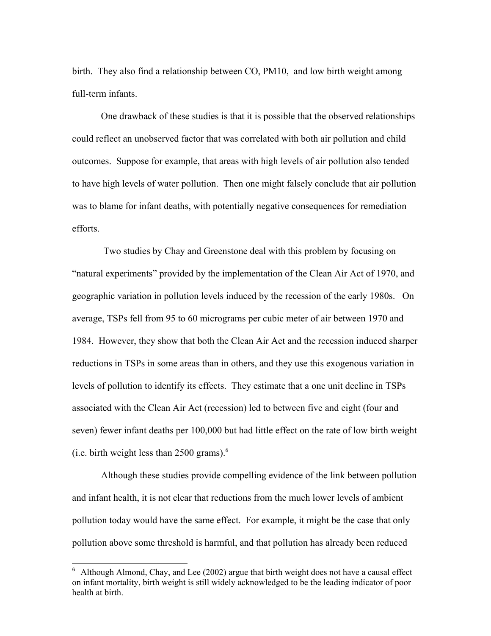birth. They also find a relationship between CO, PM10, and low birth weight among full-term infants.

One drawback of these studies is that it is possible that the observed relationships could reflect an unobserved factor that was correlated with both air pollution and child outcomes. Suppose for example, that areas with high levels of air pollution also tended to have high levels of water pollution. Then one might falsely conclude that air pollution was to blame for infant deaths, with potentially negative consequences for remediation efforts.

 Two studies by Chay and Greenstone deal with this problem by focusing on "natural experiments" provided by the implementation of the Clean Air Act of 1970, and geographic variation in pollution levels induced by the recession of the early 1980s. On average, TSPs fell from 95 to 60 micrograms per cubic meter of air between 1970 and 1984. However, they show that both the Clean Air Act and the recession induced sharper reductions in TSPs in some areas than in others, and they use this exogenous variation in levels of pollution to identify its effects. They estimate that a one unit decline in TSPs associated with the Clean Air Act (recession) led to between five and eight (four and seven) fewer infant deaths per 100,000 but had little effect on the rate of low birth weight (i.e. birth weight less than  $2500$  grams).<sup>6</sup>

Although these studies provide compelling evidence of the link between pollution and infant health, it is not clear that reductions from the much lower levels of ambient pollution today would have the same effect. For example, it might be the case that only pollution above some threshold is harmful, and that pollution has already been reduced

<sup>6</sup> Although Almond, Chay, and Lee (2002) argue that birth weight does not have a causal effect on infant mortality, birth weight is still widely acknowledged to be the leading indicator of poor health at birth.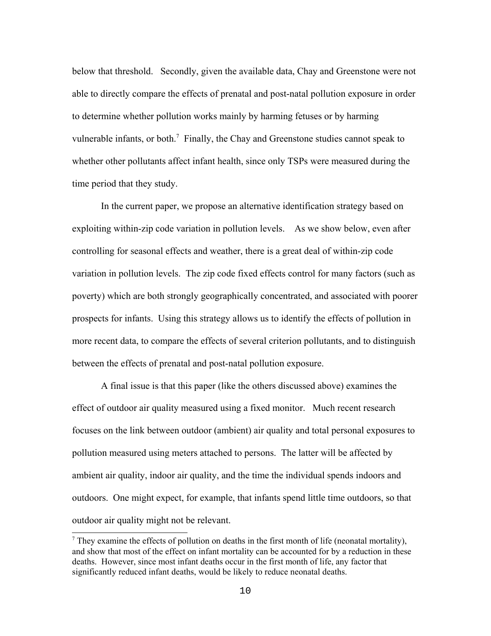below that threshold. Secondly, given the available data, Chay and Greenstone were not able to directly compare the effects of prenatal and post-natal pollution exposure in order to determine whether pollution works mainly by harming fetuses or by harming vulnerable infants, or both.<sup>7</sup> Finally, the Chay and Greenstone studies cannot speak to whether other pollutants affect infant health, since only TSPs were measured during the time period that they study.

In the current paper, we propose an alternative identification strategy based on exploiting within-zip code variation in pollution levels. As we show below, even after controlling for seasonal effects and weather, there is a great deal of within-zip code variation in pollution levels. The zip code fixed effects control for many factors (such as poverty) which are both strongly geographically concentrated, and associated with poorer prospects for infants. Using this strategy allows us to identify the effects of pollution in more recent data, to compare the effects of several criterion pollutants, and to distinguish between the effects of prenatal and post-natal pollution exposure.

A final issue is that this paper (like the others discussed above) examines the effect of outdoor air quality measured using a fixed monitor. Much recent research focuses on the link between outdoor (ambient) air quality and total personal exposures to pollution measured using meters attached to persons. The latter will be affected by ambient air quality, indoor air quality, and the time the individual spends indoors and outdoors. One might expect, for example, that infants spend little time outdoors, so that outdoor air quality might not be relevant.

 $<sup>7</sup>$  They examine the effects of pollution on deaths in the first month of life (neonatal mortality),</sup> and show that most of the effect on infant mortality can be accounted for by a reduction in these deaths. However, since most infant deaths occur in the first month of life, any factor that significantly reduced infant deaths, would be likely to reduce neonatal deaths.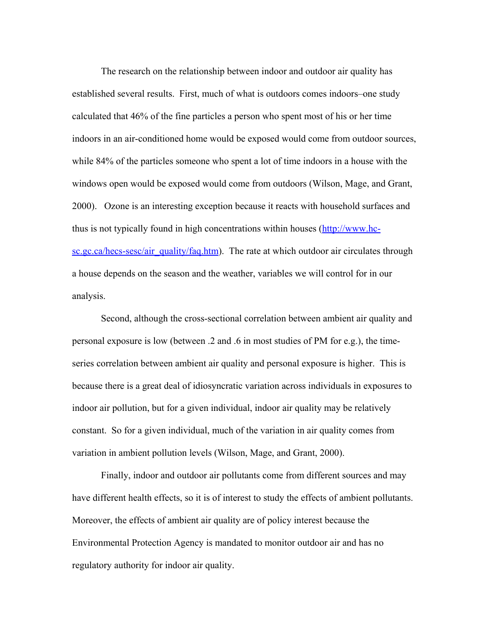The research on the relationship between indoor and outdoor air quality has established several results. First, much of what is outdoors comes indoors–one study calculated that 46% of the fine particles a person who spent most of his or her time indoors in an air-conditioned home would be exposed would come from outdoor sources, while 84% of the particles someone who spent a lot of time indoors in a house with the windows open would be exposed would come from outdoors (Wilson, Mage, and Grant, 2000). Ozone is an interesting exception because it reacts with household surfaces and thus is not typically found in high concentrations within houses (http://www.hcsc.gc.ca/hecs-sesc/air\_quality/faq.htm). The rate at which outdoor air circulates through a house depends on the season and the weather, variables we will control for in our analysis.

Second, although the cross-sectional correlation between ambient air quality and personal exposure is low (between .2 and .6 in most studies of PM for e.g.), the timeseries correlation between ambient air quality and personal exposure is higher. This is because there is a great deal of idiosyncratic variation across individuals in exposures to indoor air pollution, but for a given individual, indoor air quality may be relatively constant. So for a given individual, much of the variation in air quality comes from variation in ambient pollution levels (Wilson, Mage, and Grant, 2000).

Finally, indoor and outdoor air pollutants come from different sources and may have different health effects, so it is of interest to study the effects of ambient pollutants. Moreover, the effects of ambient air quality are of policy interest because the Environmental Protection Agency is mandated to monitor outdoor air and has no regulatory authority for indoor air quality.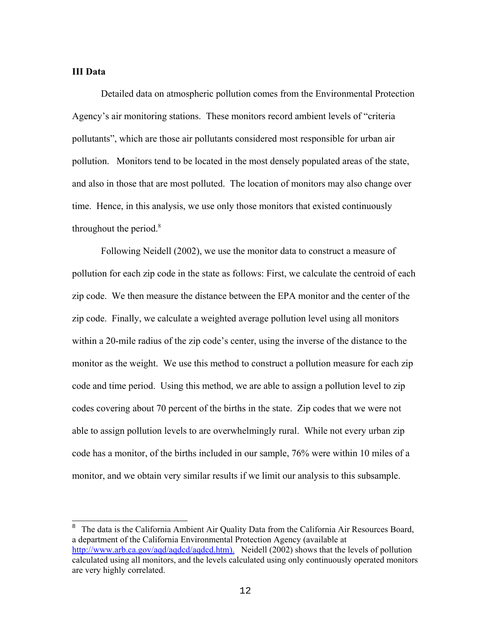### **III Data**

Detailed data on atmospheric pollution comes from the Environmental Protection Agency's air monitoring stations. These monitors record ambient levels of "criteria pollutants", which are those air pollutants considered most responsible for urban air pollution. Monitors tend to be located in the most densely populated areas of the state, and also in those that are most polluted. The location of monitors may also change over time. Hence, in this analysis, we use only those monitors that existed continuously throughout the period. $8$ 

Following Neidell (2002), we use the monitor data to construct a measure of pollution for each zip code in the state as follows: First, we calculate the centroid of each zip code. We then measure the distance between the EPA monitor and the center of the zip code. Finally, we calculate a weighted average pollution level using all monitors within a 20-mile radius of the zip code's center, using the inverse of the distance to the monitor as the weight. We use this method to construct a pollution measure for each zip code and time period. Using this method, we are able to assign a pollution level to zip codes covering about 70 percent of the births in the state. Zip codes that we were not able to assign pollution levels to are overwhelmingly rural. While not every urban zip code has a monitor, of the births included in our sample, 76% were within 10 miles of a monitor, and we obtain very similar results if we limit our analysis to this subsample.

<sup>8</sup> The data is the California Ambient Air Quality Data from the California Air Resources Board, a department of the California Environmental Protection Agency (available at http://www.arb.ca.gov/aqd/aqdcd/aqdcd.htm). Neidell (2002) shows that the levels of pollution calculated using all monitors, and the levels calculated using only continuously operated monitors are very highly correlated.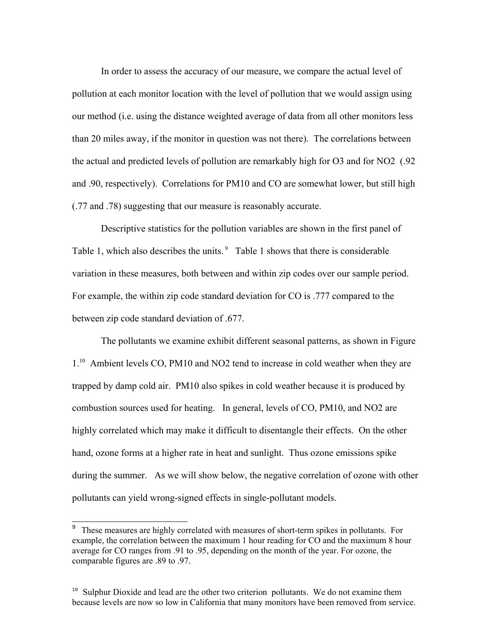In order to assess the accuracy of our measure, we compare the actual level of pollution at each monitor location with the level of pollution that we would assign using our method (i.e. using the distance weighted average of data from all other monitors less than 20 miles away, if the monitor in question was not there). The correlations between the actual and predicted levels of pollution are remarkably high for O3 and for NO2 (.92 and .90, respectively). Correlations for PM10 and CO are somewhat lower, but still high (.77 and .78) suggesting that our measure is reasonably accurate.

Descriptive statistics for the pollution variables are shown in the first panel of Table 1, which also describes the units.<sup>9</sup> Table 1 shows that there is considerable variation in these measures, both between and within zip codes over our sample period. For example, the within zip code standard deviation for CO is .777 compared to the between zip code standard deviation of .677.

The pollutants we examine exhibit different seasonal patterns, as shown in Figure 1<sup>.10</sup> Ambient levels CO, PM10 and NO2 tend to increase in cold weather when they are trapped by damp cold air. PM10 also spikes in cold weather because it is produced by combustion sources used for heating. In general, levels of CO, PM10, and NO2 are highly correlated which may make it difficult to disentangle their effects. On the other hand, ozone forms at a higher rate in heat and sunlight. Thus ozone emissions spike during the summer. As we will show below, the negative correlation of ozone with other pollutants can yield wrong-signed effects in single-pollutant models.

 $\frac{9}{9}$  These measures are highly correlated with measures of short-term spikes in pollutants. For example, the correlation between the maximum 1 hour reading for CO and the maximum 8 hour average for CO ranges from .91 to .95, depending on the month of the year. For ozone, the comparable figures are .89 to .97.

<sup>&</sup>lt;sup>10</sup> Sulphur Dioxide and lead are the other two criterion pollutants. We do not examine them because levels are now so low in California that many monitors have been removed from service.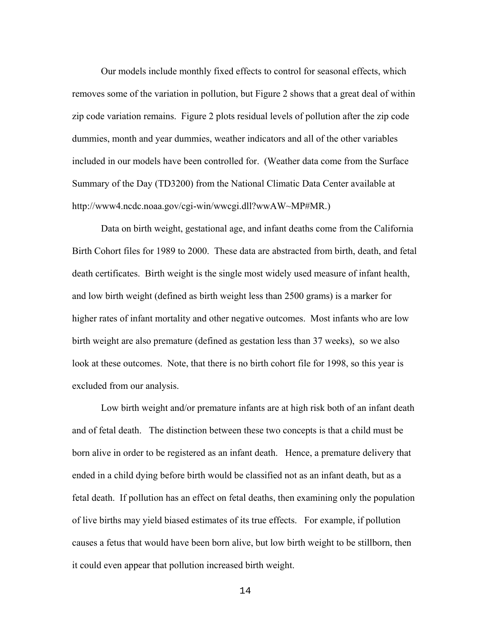Our models include monthly fixed effects to control for seasonal effects, which removes some of the variation in pollution, but Figure 2 shows that a great deal of within zip code variation remains. Figure 2 plots residual levels of pollution after the zip code dummies, month and year dummies, weather indicators and all of the other variables included in our models have been controlled for. (Weather data come from the Surface Summary of the Day (TD3200) from the National Climatic Data Center available at http://www4.ncdc.noaa.gov/cgi-win/wwcgi.dll?wwAW~MP#MR.)

Data on birth weight, gestational age, and infant deaths come from the California Birth Cohort files for 1989 to 2000. These data are abstracted from birth, death, and fetal death certificates. Birth weight is the single most widely used measure of infant health, and low birth weight (defined as birth weight less than 2500 grams) is a marker for higher rates of infant mortality and other negative outcomes. Most infants who are low birth weight are also premature (defined as gestation less than 37 weeks), so we also look at these outcomes. Note, that there is no birth cohort file for 1998, so this year is excluded from our analysis.

 Low birth weight and/or premature infants are at high risk both of an infant death and of fetal death. The distinction between these two concepts is that a child must be born alive in order to be registered as an infant death. Hence, a premature delivery that ended in a child dying before birth would be classified not as an infant death, but as a fetal death. If pollution has an effect on fetal deaths, then examining only the population of live births may yield biased estimates of its true effects. For example, if pollution causes a fetus that would have been born alive, but low birth weight to be stillborn, then it could even appear that pollution increased birth weight.

14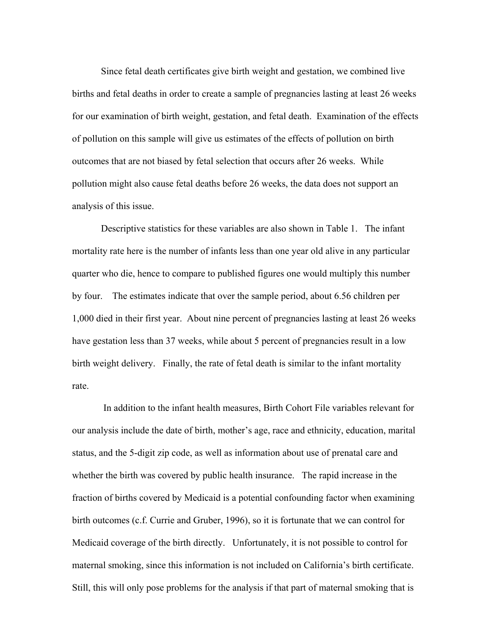Since fetal death certificates give birth weight and gestation, we combined live births and fetal deaths in order to create a sample of pregnancies lasting at least 26 weeks for our examination of birth weight, gestation, and fetal death. Examination of the effects of pollution on this sample will give us estimates of the effects of pollution on birth outcomes that are not biased by fetal selection that occurs after 26 weeks. While pollution might also cause fetal deaths before 26 weeks, the data does not support an analysis of this issue.

Descriptive statistics for these variables are also shown in Table 1. The infant mortality rate here is the number of infants less than one year old alive in any particular quarter who die, hence to compare to published figures one would multiply this number by four. The estimates indicate that over the sample period, about 6.56 children per 1,000 died in their first year. About nine percent of pregnancies lasting at least 26 weeks have gestation less than 37 weeks, while about 5 percent of pregnancies result in a low birth weight delivery. Finally, the rate of fetal death is similar to the infant mortality rate.

 In addition to the infant health measures, Birth Cohort File variables relevant for our analysis include the date of birth, mother's age, race and ethnicity, education, marital status, and the 5-digit zip code, as well as information about use of prenatal care and whether the birth was covered by public health insurance. The rapid increase in the fraction of births covered by Medicaid is a potential confounding factor when examining birth outcomes (c.f. Currie and Gruber, 1996), so it is fortunate that we can control for Medicaid coverage of the birth directly. Unfortunately, it is not possible to control for maternal smoking, since this information is not included on California's birth certificate. Still, this will only pose problems for the analysis if that part of maternal smoking that is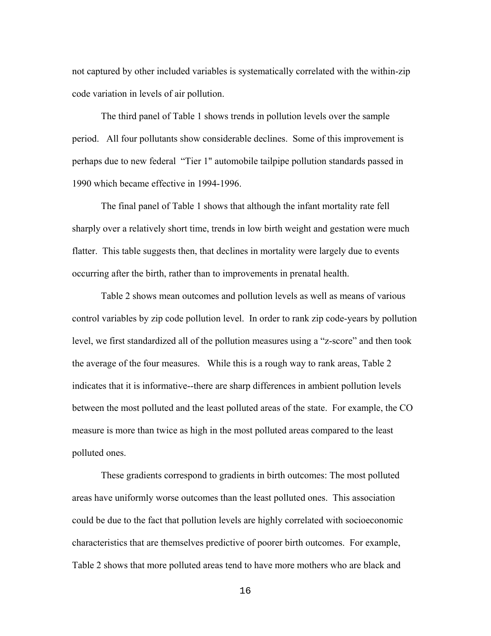not captured by other included variables is systematically correlated with the within-zip code variation in levels of air pollution.

The third panel of Table 1 shows trends in pollution levels over the sample period. All four pollutants show considerable declines. Some of this improvement is perhaps due to new federal "Tier 1" automobile tailpipe pollution standards passed in 1990 which became effective in 1994-1996.

The final panel of Table 1 shows that although the infant mortality rate fell sharply over a relatively short time, trends in low birth weight and gestation were much flatter. This table suggests then, that declines in mortality were largely due to events occurring after the birth, rather than to improvements in prenatal health.

Table 2 shows mean outcomes and pollution levels as well as means of various control variables by zip code pollution level. In order to rank zip code-years by pollution level, we first standardized all of the pollution measures using a "z-score" and then took the average of the four measures. While this is a rough way to rank areas, Table 2 indicates that it is informative--there are sharp differences in ambient pollution levels between the most polluted and the least polluted areas of the state. For example, the CO measure is more than twice as high in the most polluted areas compared to the least polluted ones.

These gradients correspond to gradients in birth outcomes: The most polluted areas have uniformly worse outcomes than the least polluted ones. This association could be due to the fact that pollution levels are highly correlated with socioeconomic characteristics that are themselves predictive of poorer birth outcomes. For example, Table 2 shows that more polluted areas tend to have more mothers who are black and

16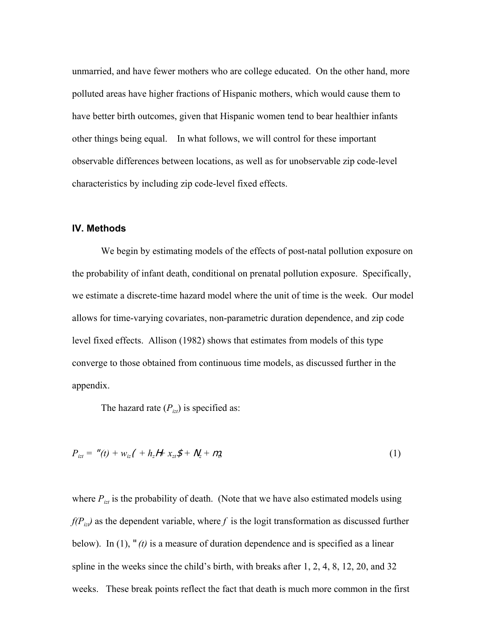unmarried, and have fewer mothers who are college educated. On the other hand, more polluted areas have higher fractions of Hispanic mothers, which would cause them to have better birth outcomes, given that Hispanic women tend to bear healthier infants other things being equal. In what follows, we will control for these important observable differences between locations, as well as for unobservable zip code-level characteristics by including zip code-level fixed effects.

#### **IV. Methods**

We begin by estimating models of the effects of post-natal pollution exposure on the probability of infant death, conditional on prenatal pollution exposure. Specifically, we estimate a discrete-time hazard model where the unit of time is the week. Our model allows for time-varying covariates, non-parametric duration dependence, and zip code level fixed effects. Allison (1982) shows that estimates from models of this type converge to those obtained from continuous time models, as discussed further in the appendix.

The hazard rate  $(P_{izl})$  is specified as:

$$
P_{izt} = "(t) + w_{iz}(t) + h_z H + x_{zt} \mathcal{F} + N_z + m_t
$$
\n(1)

where  $P_{izt}$  is the probability of death. (Note that we have also estimated models using  $f(P_{iz})$  as the dependent variable, where f is the logit transformation as discussed further below). In (1), "*(t)* is a measure of duration dependence and is specified as a linear spline in the weeks since the child's birth, with breaks after 1, 2, 4, 8, 12, 20, and 32 weeks. These break points reflect the fact that death is much more common in the first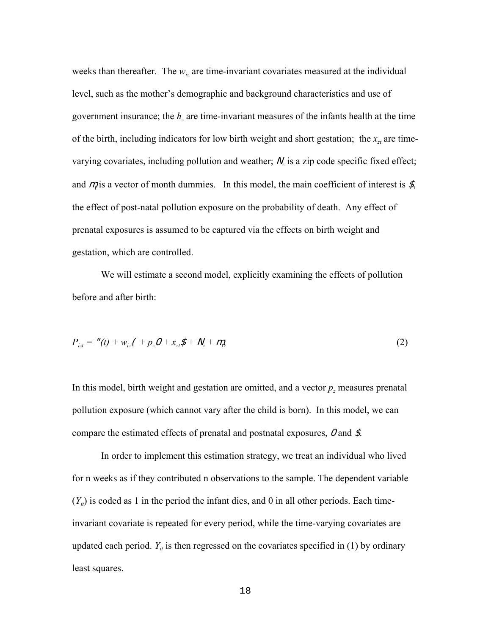weeks than thereafter. The  $w_{iz}$  are time-invariant covariates measured at the individual level, such as the mother's demographic and background characteristics and use of government insurance; the *hz* are time-invariant measures of the infants health at the time of the birth, including indicators for low birth weight and short gestation; the  $x<sub>zt</sub>$  are timevarying covariates, including pollution and weather;  $N_z$  is a zip code specific fixed effect; and  $m_i$  is a vector of month dummies. In this model, the main coefficient of interest is  $\mathcal{S}_i$ , the effect of post-natal pollution exposure on the probability of death. Any effect of prenatal exposures is assumed to be captured via the effects on birth weight and gestation, which are controlled.

We will estimate a second model, explicitly examining the effects of pollution before and after birth:

$$
P_{izt} = "(t) + w_{iz}(t) + p_z O + x_{zt} \mathcal{S} + N_z + m_t, \tag{2}
$$

In this model, birth weight and gestation are omitted, and a vector *p<sub>z</sub>* measures prenatal pollution exposure (which cannot vary after the child is born). In this model, we can compare the estimated effects of prenatal and postnatal exposures, O and \$.

In order to implement this estimation strategy, we treat an individual who lived for n weeks as if they contributed n observations to the sample. The dependent variable  $(Y_{ii})$  is coded as 1 in the period the infant dies, and 0 in all other periods. Each timeinvariant covariate is repeated for every period, while the time-varying covariates are updated each period.  $Y_{it}$  is then regressed on the covariates specified in (1) by ordinary least squares.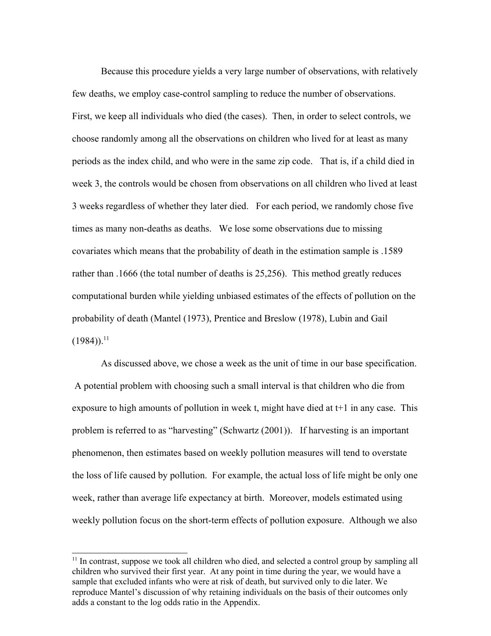Because this procedure yields a very large number of observations, with relatively few deaths, we employ case-control sampling to reduce the number of observations. First, we keep all individuals who died (the cases). Then, in order to select controls, we choose randomly among all the observations on children who lived for at least as many periods as the index child, and who were in the same zip code. That is, if a child died in week 3, the controls would be chosen from observations on all children who lived at least 3 weeks regardless of whether they later died. For each period, we randomly chose five times as many non-deaths as deaths. We lose some observations due to missing covariates which means that the probability of death in the estimation sample is .1589 rather than .1666 (the total number of deaths is 25,256). This method greatly reduces computational burden while yielding unbiased estimates of the effects of pollution on the probability of death (Mantel (1973), Prentice and Breslow (1978), Lubin and Gail  $(1984)$ <sup>11</sup>

As discussed above, we chose a week as the unit of time in our base specification. A potential problem with choosing such a small interval is that children who die from exposure to high amounts of pollution in week t, might have died at t+1 in any case. This problem is referred to as "harvesting" (Schwartz (2001)). If harvesting is an important phenomenon, then estimates based on weekly pollution measures will tend to overstate the loss of life caused by pollution. For example, the actual loss of life might be only one week, rather than average life expectancy at birth. Moreover, models estimated using weekly pollution focus on the short-term effects of pollution exposure. Although we also

 $11$  In contrast, suppose we took all children who died, and selected a control group by sampling all children who survived their first year. At any point in time during the year, we would have a sample that excluded infants who were at risk of death, but survived only to die later. We reproduce Mantel's discussion of why retaining individuals on the basis of their outcomes only adds a constant to the log odds ratio in the Appendix.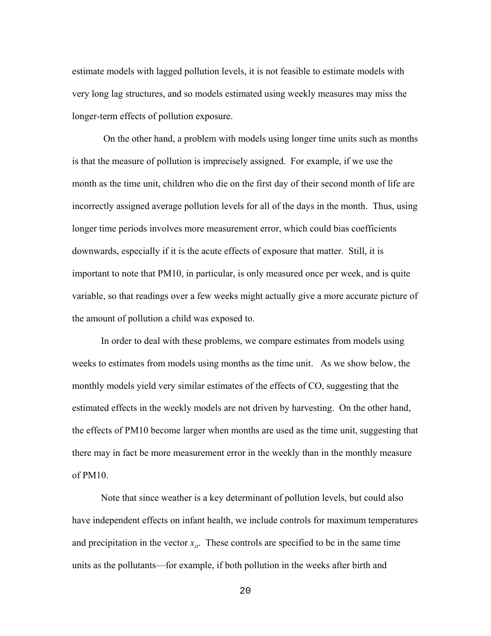estimate models with lagged pollution levels, it is not feasible to estimate models with very long lag structures, and so models estimated using weekly measures may miss the longer-term effects of pollution exposure.

 On the other hand, a problem with models using longer time units such as months is that the measure of pollution is imprecisely assigned. For example, if we use the month as the time unit, children who die on the first day of their second month of life are incorrectly assigned average pollution levels for all of the days in the month. Thus, using longer time periods involves more measurement error, which could bias coefficients downwards, especially if it is the acute effects of exposure that matter. Still, it is important to note that PM10, in particular, is only measured once per week, and is quite variable, so that readings over a few weeks might actually give a more accurate picture of the amount of pollution a child was exposed to.

In order to deal with these problems, we compare estimates from models using weeks to estimates from models using months as the time unit. As we show below, the monthly models yield very similar estimates of the effects of CO, suggesting that the estimated effects in the weekly models are not driven by harvesting. On the other hand, the effects of PM10 become larger when months are used as the time unit, suggesting that there may in fact be more measurement error in the weekly than in the monthly measure of  $PM10$ .

Note that since weather is a key determinant of pollution levels, but could also have independent effects on infant health, we include controls for maximum temperatures and precipitation in the vector  $x_{zt}$ . These controls are specified to be in the same time units as the pollutants—for example, if both pollution in the weeks after birth and

20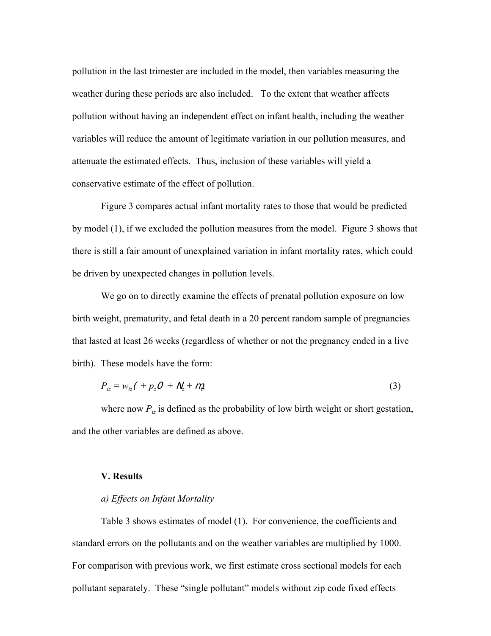pollution in the last trimester are included in the model, then variables measuring the weather during these periods are also included. To the extent that weather affects pollution without having an independent effect on infant health, including the weather variables will reduce the amount of legitimate variation in our pollution measures, and attenuate the estimated effects. Thus, inclusion of these variables will yield a conservative estimate of the effect of pollution.

Figure 3 compares actual infant mortality rates to those that would be predicted by model (1), if we excluded the pollution measures from the model. Figure 3 shows that there is still a fair amount of unexplained variation in infant mortality rates, which could be driven by unexpected changes in pollution levels.

We go on to directly examine the effects of prenatal pollution exposure on low birth weight, prematurity, and fetal death in a 20 percent random sample of pregnancies that lasted at least 26 weeks (regardless of whether or not the pregnancy ended in a live birth). These models have the form:

$$
P_{iz} = w_{iz} \left( \frac{1}{2} p_z \mathcal{O} + N_z + m_z \right) \tag{3}
$$

where now  $P_{iz}$  is defined as the probability of low birth weight or short gestation, and the other variables are defined as above.

#### **V. Results**

#### *a) Effects on Infant Mortality*

Table 3 shows estimates of model (1). For convenience, the coefficients and standard errors on the pollutants and on the weather variables are multiplied by 1000. For comparison with previous work, we first estimate cross sectional models for each pollutant separately. These "single pollutant" models without zip code fixed effects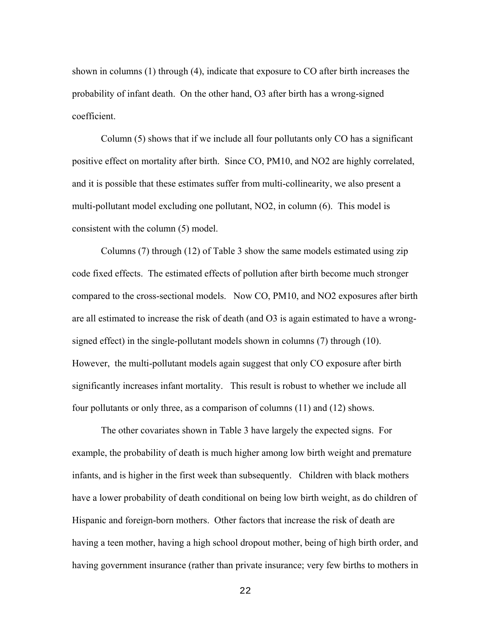shown in columns (1) through (4), indicate that exposure to CO after birth increases the probability of infant death. On the other hand, O3 after birth has a wrong-signed coefficient.

Column (5) shows that if we include all four pollutants only CO has a significant positive effect on mortality after birth. Since CO, PM10, and NO2 are highly correlated, and it is possible that these estimates suffer from multi-collinearity, we also present a multi-pollutant model excluding one pollutant, NO2, in column (6). This model is consistent with the column (5) model.

Columns (7) through (12) of Table 3 show the same models estimated using zip code fixed effects. The estimated effects of pollution after birth become much stronger compared to the cross-sectional models. Now CO, PM10, and NO2 exposures after birth are all estimated to increase the risk of death (and O3 is again estimated to have a wrongsigned effect) in the single-pollutant models shown in columns (7) through (10). However, the multi-pollutant models again suggest that only CO exposure after birth significantly increases infant mortality. This result is robust to whether we include all four pollutants or only three, as a comparison of columns (11) and (12) shows.

The other covariates shown in Table 3 have largely the expected signs. For example, the probability of death is much higher among low birth weight and premature infants, and is higher in the first week than subsequently. Children with black mothers have a lower probability of death conditional on being low birth weight, as do children of Hispanic and foreign-born mothers. Other factors that increase the risk of death are having a teen mother, having a high school dropout mother, being of high birth order, and having government insurance (rather than private insurance; very few births to mothers in

22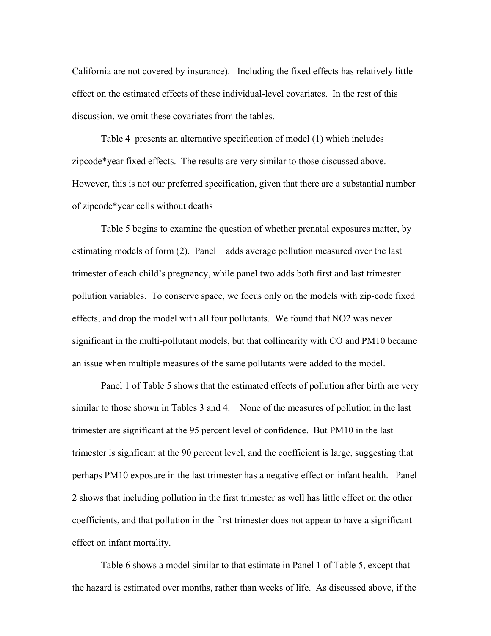California are not covered by insurance). Including the fixed effects has relatively little effect on the estimated effects of these individual-level covariates. In the rest of this discussion, we omit these covariates from the tables.

Table 4 presents an alternative specification of model (1) which includes zipcode\*year fixed effects. The results are very similar to those discussed above. However, this is not our preferred specification, given that there are a substantial number of zipcode\*year cells without deaths

Table 5 begins to examine the question of whether prenatal exposures matter, by estimating models of form (2). Panel 1 adds average pollution measured over the last trimester of each child's pregnancy, while panel two adds both first and last trimester pollution variables. To conserve space, we focus only on the models with zip-code fixed effects, and drop the model with all four pollutants. We found that NO2 was never significant in the multi-pollutant models, but that collinearity with CO and PM10 became an issue when multiple measures of the same pollutants were added to the model.

Panel 1 of Table 5 shows that the estimated effects of pollution after birth are very similar to those shown in Tables 3 and 4. None of the measures of pollution in the last trimester are significant at the 95 percent level of confidence. But PM10 in the last trimester is signficant at the 90 percent level, and the coefficient is large, suggesting that perhaps PM10 exposure in the last trimester has a negative effect on infant health. Panel 2 shows that including pollution in the first trimester as well has little effect on the other coefficients, and that pollution in the first trimester does not appear to have a significant effect on infant mortality.

Table 6 shows a model similar to that estimate in Panel 1 of Table 5, except that the hazard is estimated over months, rather than weeks of life. As discussed above, if the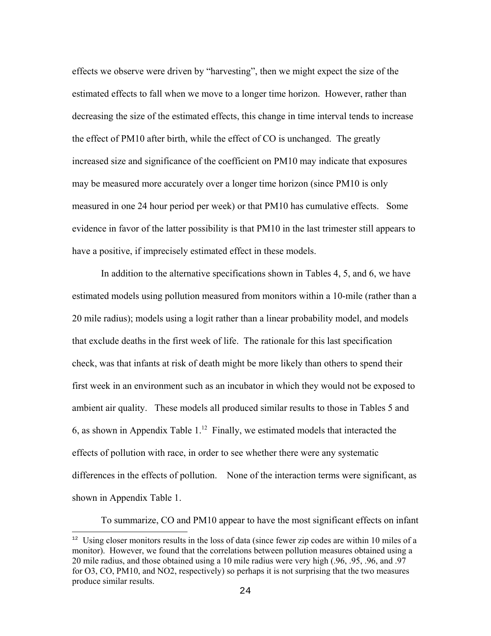effects we observe were driven by "harvesting", then we might expect the size of the estimated effects to fall when we move to a longer time horizon. However, rather than decreasing the size of the estimated effects, this change in time interval tends to increase the effect of PM10 after birth, while the effect of CO is unchanged. The greatly increased size and significance of the coefficient on PM10 may indicate that exposures may be measured more accurately over a longer time horizon (since PM10 is only measured in one 24 hour period per week) or that PM10 has cumulative effects. Some evidence in favor of the latter possibility is that PM10 in the last trimester still appears to have a positive, if imprecisely estimated effect in these models.

In addition to the alternative specifications shown in Tables 4, 5, and 6, we have estimated models using pollution measured from monitors within a 10-mile (rather than a 20 mile radius); models using a logit rather than a linear probability model, and models that exclude deaths in the first week of life. The rationale for this last specification check, was that infants at risk of death might be more likely than others to spend their first week in an environment such as an incubator in which they would not be exposed to ambient air quality. These models all produced similar results to those in Tables 5 and 6, as shown in Appendix Table  $1<sup>12</sup>$  Finally, we estimated models that interacted the effects of pollution with race, in order to see whether there were any systematic differences in the effects of pollution. None of the interaction terms were significant, as shown in Appendix Table 1.

To summarize, CO and PM10 appear to have the most significant effects on infant

<sup>&</sup>lt;sup>12</sup> Using closer monitors results in the loss of data (since fewer zip codes are within 10 miles of a monitor). However, we found that the correlations between pollution measures obtained using a 20 mile radius, and those obtained using a 10 mile radius were very high (.96, .95, .96, and .97 for O3, CO, PM10, and NO2, respectively) so perhaps it is not surprising that the two measures produce similar results.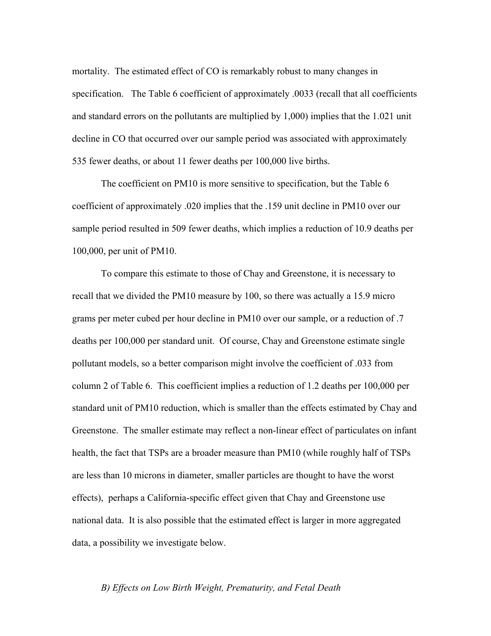mortality. The estimated effect of CO is remarkably robust to many changes in specification. The Table 6 coefficient of approximately .0033 (recall that all coefficients and standard errors on the pollutants are multiplied by 1,000) implies that the 1.021 unit decline in CO that occurred over our sample period was associated with approximately 535 fewer deaths, or about 11 fewer deaths per 100,000 live births.

The coefficient on PM10 is more sensitive to specification, but the Table 6 coefficient of approximately .020 implies that the .159 unit decline in PM10 over our sample period resulted in 509 fewer deaths, which implies a reduction of 10.9 deaths per 100,000, per unit of PM10.

To compare this estimate to those of Chay and Greenstone, it is necessary to recall that we divided the PM10 measure by 100, so there was actually a 15.9 micro grams per meter cubed per hour decline in PM10 over our sample, or a reduction of .7 deaths per 100,000 per standard unit. Of course, Chay and Greenstone estimate single pollutant models, so a better comparison might involve the coefficient of .033 from column 2 of Table 6. This coefficient implies a reduction of 1.2 deaths per 100,000 per standard unit of PM10 reduction, which is smaller than the effects estimated by Chay and Greenstone. The smaller estimate may reflect a non-linear effect of particulates on infant health, the fact that TSPs are a broader measure than PM10 (while roughly half of TSPs are less than 10 microns in diameter, smaller particles are thought to have the worst effects), perhaps a California-specific effect given that Chay and Greenstone use national data. It is also possible that the estimated effect is larger in more aggregated data, a possibility we investigate below.

#### *B) Effects on Low Birth Weight, Prematurity, and Fetal Death*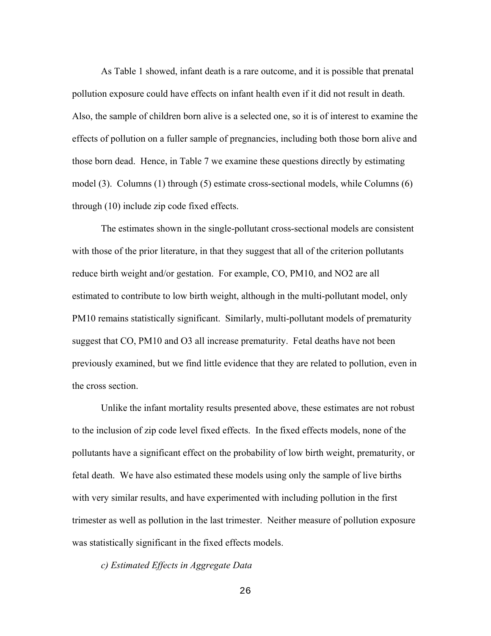As Table 1 showed, infant death is a rare outcome, and it is possible that prenatal pollution exposure could have effects on infant health even if it did not result in death. Also, the sample of children born alive is a selected one, so it is of interest to examine the effects of pollution on a fuller sample of pregnancies, including both those born alive and those born dead. Hence, in Table 7 we examine these questions directly by estimating model (3). Columns (1) through (5) estimate cross-sectional models, while Columns (6) through (10) include zip code fixed effects.

The estimates shown in the single-pollutant cross-sectional models are consistent with those of the prior literature, in that they suggest that all of the criterion pollutants reduce birth weight and/or gestation. For example, CO, PM10, and NO2 are all estimated to contribute to low birth weight, although in the multi-pollutant model, only PM10 remains statistically significant. Similarly, multi-pollutant models of prematurity suggest that CO, PM10 and O3 all increase prematurity. Fetal deaths have not been previously examined, but we find little evidence that they are related to pollution, even in the cross section.

Unlike the infant mortality results presented above, these estimates are not robust to the inclusion of zip code level fixed effects. In the fixed effects models, none of the pollutants have a significant effect on the probability of low birth weight, prematurity, or fetal death. We have also estimated these models using only the sample of live births with very similar results, and have experimented with including pollution in the first trimester as well as pollution in the last trimester. Neither measure of pollution exposure was statistically significant in the fixed effects models.

*c) Estimated Effects in Aggregate Data*

26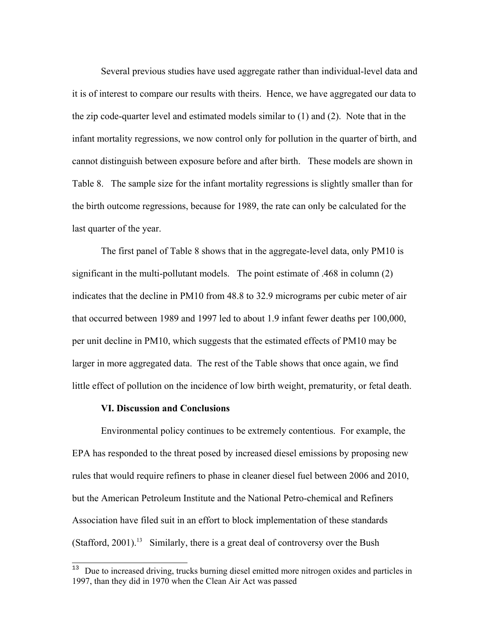Several previous studies have used aggregate rather than individual-level data and it is of interest to compare our results with theirs. Hence, we have aggregated our data to the zip code-quarter level and estimated models similar to (1) and (2). Note that in the infant mortality regressions, we now control only for pollution in the quarter of birth, and cannot distinguish between exposure before and after birth. These models are shown in Table 8. The sample size for the infant mortality regressions is slightly smaller than for the birth outcome regressions, because for 1989, the rate can only be calculated for the last quarter of the year.

The first panel of Table 8 shows that in the aggregate-level data, only PM10 is significant in the multi-pollutant models. The point estimate of .468 in column (2) indicates that the decline in PM10 from 48.8 to 32.9 micrograms per cubic meter of air that occurred between 1989 and 1997 led to about 1.9 infant fewer deaths per 100,000, per unit decline in PM10, which suggests that the estimated effects of PM10 may be larger in more aggregated data. The rest of the Table shows that once again, we find little effect of pollution on the incidence of low birth weight, prematurity, or fetal death.

### **VI. Discussion and Conclusions**

Environmental policy continues to be extremely contentious. For example, the EPA has responded to the threat posed by increased diesel emissions by proposing new rules that would require refiners to phase in cleaner diesel fuel between 2006 and 2010, but the American Petroleum Institute and the National Petro-chemical and Refiners Association have filed suit in an effort to block implementation of these standards (Stafford, 2001).<sup>13</sup> Similarly, there is a great deal of controversy over the Bush

<sup>13</sup> Due to increased driving, trucks burning diesel emitted more nitrogen oxides and particles in 1997, than they did in 1970 when the Clean Air Act was passed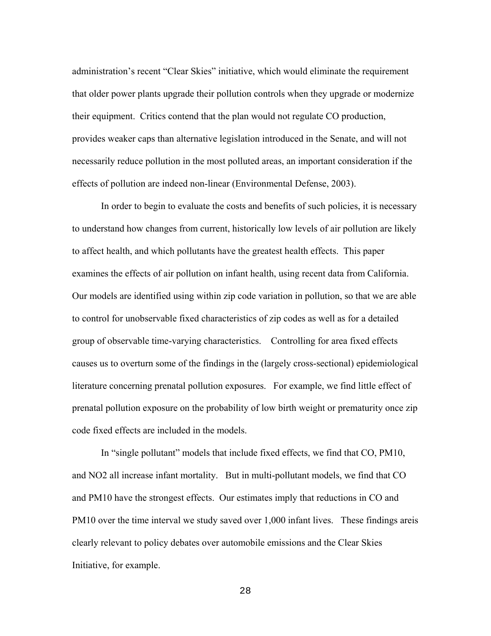administration's recent "Clear Skies" initiative, which would eliminate the requirement that older power plants upgrade their pollution controls when they upgrade or modernize their equipment. Critics contend that the plan would not regulate CO production, provides weaker caps than alternative legislation introduced in the Senate, and will not necessarily reduce pollution in the most polluted areas, an important consideration if the effects of pollution are indeed non-linear (Environmental Defense, 2003).

In order to begin to evaluate the costs and benefits of such policies, it is necessary to understand how changes from current, historically low levels of air pollution are likely to affect health, and which pollutants have the greatest health effects. This paper examines the effects of air pollution on infant health, using recent data from California. Our models are identified using within zip code variation in pollution, so that we are able to control for unobservable fixed characteristics of zip codes as well as for a detailed group of observable time-varying characteristics. Controlling for area fixed effects causes us to overturn some of the findings in the (largely cross-sectional) epidemiological literature concerning prenatal pollution exposures. For example, we find little effect of prenatal pollution exposure on the probability of low birth weight or prematurity once zip code fixed effects are included in the models.

In "single pollutant" models that include fixed effects, we find that CO, PM10, and NO2 all increase infant mortality. But in multi-pollutant models, we find that CO and PM10 have the strongest effects. Our estimates imply that reductions in CO and PM10 over the time interval we study saved over 1,000 infant lives. These findings areis clearly relevant to policy debates over automobile emissions and the Clear Skies Initiative, for example.

28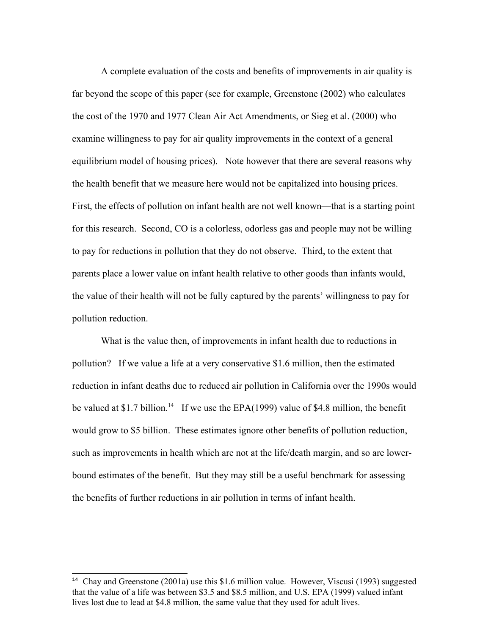A complete evaluation of the costs and benefits of improvements in air quality is far beyond the scope of this paper (see for example, Greenstone (2002) who calculates the cost of the 1970 and 1977 Clean Air Act Amendments, or Sieg et al. (2000) who examine willingness to pay for air quality improvements in the context of a general equilibrium model of housing prices). Note however that there are several reasons why the health benefit that we measure here would not be capitalized into housing prices. First, the effects of pollution on infant health are not well known—that is a starting point for this research. Second, CO is a colorless, odorless gas and people may not be willing to pay for reductions in pollution that they do not observe. Third, to the extent that parents place a lower value on infant health relative to other goods than infants would, the value of their health will not be fully captured by the parents' willingness to pay for pollution reduction.

What is the value then, of improvements in infant health due to reductions in pollution? If we value a life at a very conservative \$1.6 million, then the estimated reduction in infant deaths due to reduced air pollution in California over the 1990s would be valued at \$1.7 billion.<sup>14</sup> If we use the EPA(1999) value of \$4.8 million, the benefit would grow to \$5 billion. These estimates ignore other benefits of pollution reduction, such as improvements in health which are not at the life/death margin, and so are lowerbound estimates of the benefit. But they may still be a useful benchmark for assessing the benefits of further reductions in air pollution in terms of infant health.

<sup>&</sup>lt;sup>14</sup> Chay and Greenstone (2001a) use this \$1.6 million value. However, Viscusi (1993) suggested that the value of a life was between \$3.5 and \$8.5 million, and U.S. EPA (1999) valued infant lives lost due to lead at \$4.8 million, the same value that they used for adult lives.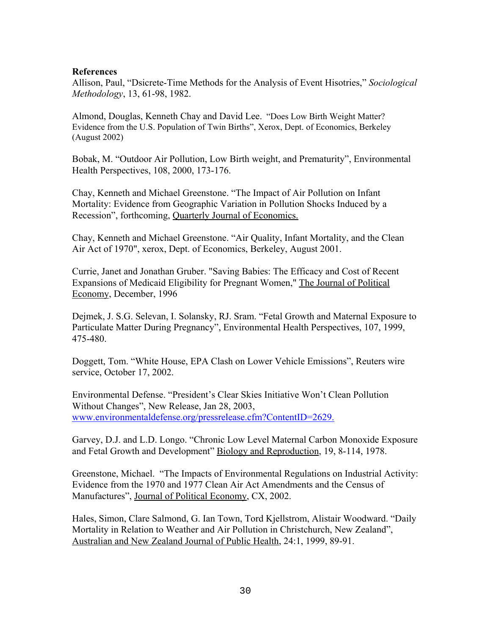### **References**

Allison, Paul, "Dsicrete-Time Methods for the Analysis of Event Hisotries," *Sociological Methodology*, 13, 61-98, 1982.

Almond, Douglas, Kenneth Chay and David Lee. "Does Low Birth Weight Matter? Evidence from the U.S. Population of Twin Births", Xerox, Dept. of Economics, Berkeley (August 2002)

Bobak, M. "Outdoor Air Pollution, Low Birth weight, and Prematurity", Environmental Health Perspectives, 108, 2000, 173-176.

Chay, Kenneth and Michael Greenstone. "The Impact of Air Pollution on Infant Mortality: Evidence from Geographic Variation in Pollution Shocks Induced by a Recession", forthcoming, Quarterly Journal of Economics.

Chay, Kenneth and Michael Greenstone. "Air Quality, Infant Mortality, and the Clean Air Act of 1970", xerox, Dept. of Economics, Berkeley, August 2001.

Currie, Janet and Jonathan Gruber. "Saving Babies: The Efficacy and Cost of Recent Expansions of Medicaid Eligibility for Pregnant Women," The Journal of Political Economy, December, 1996

Dejmek, J. S.G. Selevan, I. Solansky, RJ. Sram. "Fetal Growth and Maternal Exposure to Particulate Matter During Pregnancy", Environmental Health Perspectives, 107, 1999, 475-480.

Doggett, Tom. "White House, EPA Clash on Lower Vehicle Emissions", Reuters wire service, October 17, 2002.

Environmental Defense. "President's Clear Skies Initiative Won't Clean Pollution Without Changes", New Release, Jan 28, 2003, www.environmentaldefense.org/pressrelease.cfm?ContentID=2629.

Garvey, D.J. and L.D. Longo. "Chronic Low Level Maternal Carbon Monoxide Exposure and Fetal Growth and Development" Biology and Reproduction, 19, 8-114, 1978.

Greenstone, Michael. "The Impacts of Environmental Regulations on Industrial Activity: Evidence from the 1970 and 1977 Clean Air Act Amendments and the Census of Manufactures", Journal of Political Economy, CX, 2002.

Hales, Simon, Clare Salmond, G. Ian Town, Tord Kjellstrom, Alistair Woodward. "Daily Mortality in Relation to Weather and Air Pollution in Christchurch, New Zealand", Australian and New Zealand Journal of Public Health, 24:1, 1999, 89-91.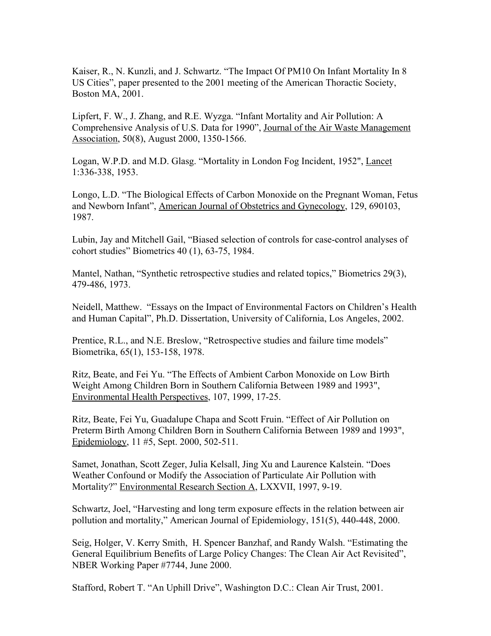Kaiser, R., N. Kunzli, and J. Schwartz. "The Impact Of PM10 On Infant Mortality In 8 US Cities", paper presented to the 2001 meeting of the American Thoractic Society, Boston MA, 2001.

Lipfert, F. W., J. Zhang, and R.E. Wyzga. "Infant Mortality and Air Pollution: A Comprehensive Analysis of U.S. Data for 1990", Journal of the Air Waste Management Association, 50(8), August 2000, 1350-1566.

Logan, W.P.D. and M.D. Glasg. "Mortality in London Fog Incident, 1952", Lancet 1:336-338, 1953.

Longo, L.D. "The Biological Effects of Carbon Monoxide on the Pregnant Woman, Fetus and Newborn Infant", American Journal of Obstetrics and Gynecology, 129, 690103, 1987.

Lubin, Jay and Mitchell Gail, "Biased selection of controls for case-control analyses of cohort studies" Biometrics 40 (1), 63-75, 1984.

Mantel, Nathan, "Synthetic retrospective studies and related topics," Biometrics 29(3), 479-486, 1973.

Neidell, Matthew. "Essays on the Impact of Environmental Factors on Children's Health and Human Capital", Ph.D. Dissertation, University of California, Los Angeles, 2002.

Prentice, R.L., and N.E. Breslow, "Retrospective studies and failure time models" Biometrika, 65(1), 153-158, 1978.

Ritz, Beate, and Fei Yu. "The Effects of Ambient Carbon Monoxide on Low Birth Weight Among Children Born in Southern California Between 1989 and 1993", Environmental Health Perspectives, 107, 1999, 17-25.

Ritz, Beate, Fei Yu, Guadalupe Chapa and Scott Fruin. "Effect of Air Pollution on Preterm Birth Among Children Born in Southern California Between 1989 and 1993", Epidemiology, 11 #5, Sept. 2000, 502-511.

Samet, Jonathan, Scott Zeger, Julia Kelsall, Jing Xu and Laurence Kalstein. "Does Weather Confound or Modify the Association of Particulate Air Pollution with Mortality?" Environmental Research Section A, LXXVII, 1997, 9-19.

Schwartz, Joel, "Harvesting and long term exposure effects in the relation between air pollution and mortality," American Journal of Epidemiology, 151(5), 440-448, 2000.

Seig, Holger, V. Kerry Smith, H. Spencer Banzhaf, and Randy Walsh. "Estimating the General Equilibrium Benefits of Large Policy Changes: The Clean Air Act Revisited", NBER Working Paper #7744, June 2000.

Stafford, Robert T. "An Uphill Drive", Washington D.C.: Clean Air Trust, 2001.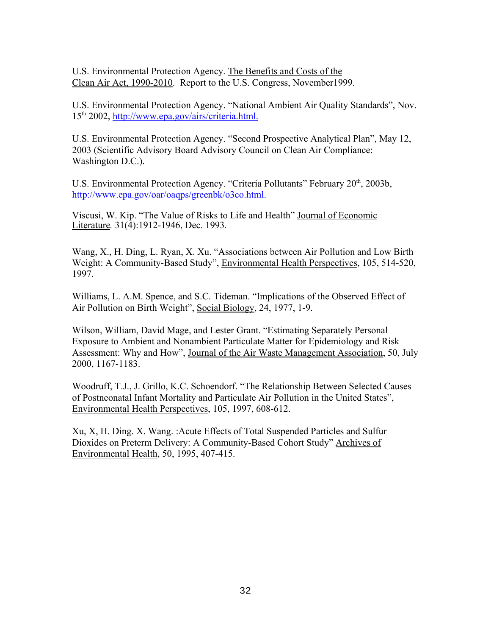U.S. Environmental Protection Agency. The Benefits and Costs of the Clean Air Act, 1990-2010. Report to the U.S. Congress, November1999.

U.S. Environmental Protection Agency. "National Ambient Air Quality Standards", Nov. 15th 2002, http://www.epa.gov/airs/criteria.html.

U.S. Environmental Protection Agency. "Second Prospective Analytical Plan", May 12, 2003 (Scientific Advisory Board Advisory Council on Clean Air Compliance: Washington D.C.).

U.S. Environmental Protection Agency. "Criteria Pollutants" February 20<sup>th</sup>, 2003b, http://www.epa.gov/oar/oaqps/greenbk/o3co.html.

Viscusi, W. Kip. "The Value of Risks to Life and Health" Journal of Economic Literature*.* 31(4):1912-1946, Dec. 1993*.*

Wang, X., H. Ding, L. Ryan, X. Xu. "Associations between Air Pollution and Low Birth Weight: A Community-Based Study", Environmental Health Perspectives, 105, 514-520, 1997.

Williams, L. A.M. Spence, and S.C. Tideman. "Implications of the Observed Effect of Air Pollution on Birth Weight", Social Biology, 24, 1977, 1-9.

Wilson, William, David Mage, and Lester Grant. "Estimating Separately Personal Exposure to Ambient and Nonambient Particulate Matter for Epidemiology and Risk Assessment: Why and How", Journal of the Air Waste Management Association, 50, July 2000, 1167-1183.

Woodruff, T.J., J. Grillo, K.C. Schoendorf. "The Relationship Between Selected Causes of Postneonatal Infant Mortality and Particulate Air Pollution in the United States", Environmental Health Perspectives, 105, 1997, 608-612.

Xu, X, H. Ding. X. Wang. :Acute Effects of Total Suspended Particles and Sulfur Dioxides on Preterm Delivery: A Community-Based Cohort Study" Archives of Environmental Health, 50, 1995, 407-415.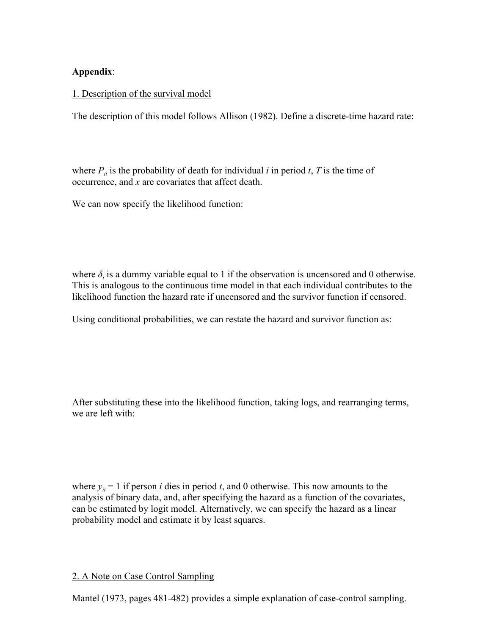### **Appendix**:

### 1. Description of the survival model

The description of this model follows Allison (1982). Define a discrete-time hazard rate:

where  $P_{it}$  is the probability of death for individual *i* in period *t*, *T* is the time of occurrence, and *x* are covariates that affect death.

We can now specify the likelihood function:

where  $\delta_i$  is a dummy variable equal to 1 if the observation is uncensored and 0 otherwise. This is analogous to the continuous time model in that each individual contributes to the likelihood function the hazard rate if uncensored and the survivor function if censored.

Using conditional probabilities, we can restate the hazard and survivor function as:

After substituting these into the likelihood function, taking logs, and rearranging terms, we are left with:

where  $y_i = 1$  if person *i* dies in period *t*, and 0 otherwise. This now amounts to the analysis of binary data, and, after specifying the hazard as a function of the covariates, can be estimated by logit model. Alternatively, we can specify the hazard as a linear probability model and estimate it by least squares.

### 2. A Note on Case Control Sampling

Mantel (1973, pages 481-482) provides a simple explanation of case-control sampling.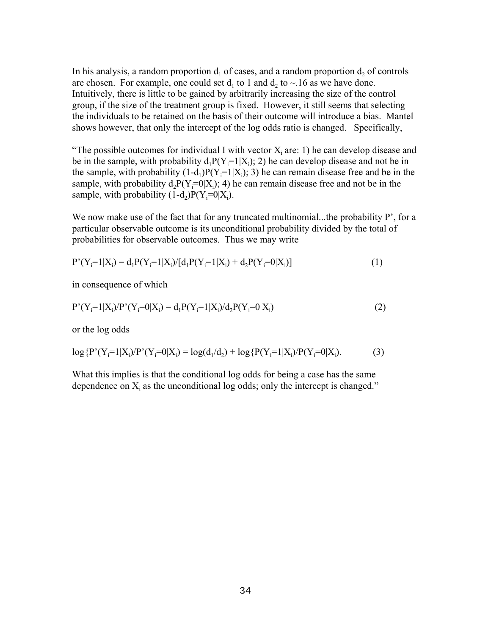In his analysis, a random proportion  $d_1$  of cases, and a random proportion  $d_2$  of controls are chosen. For example, one could set  $d_1$  to 1 and  $d_2$  to  $\sim$  16 as we have done. Intuitively, there is little to be gained by arbitrarily increasing the size of the control group, if the size of the treatment group is fixed. However, it still seems that selecting the individuals to be retained on the basis of their outcome will introduce a bias. Mantel shows however, that only the intercept of the log odds ratio is changed. Specifically,

"The possible outcomes for individual I with vector  $X_i$  are: 1) he can develop disease and be in the sample, with probability  $d_1P(Y_i=1|X_i)$ ; 2) he can develop disease and not be in the sample, with probability  $(1-d_1)P(Y_i=1|X_i)$ ; 3) he can remain disease free and be in the sample, with probability  $d_2P(Y_i=0|X_i)$ ; 4) he can remain disease free and not be in the sample, with probability  $(1-d_2)P(Y_i=0|X_i)$ .

We now make use of the fact that for any truncated multinomial...the probability P', for a particular observable outcome is its unconditional probability divided by the total of probabilities for observable outcomes. Thus we may write

$$
P'(Y_i=1|X_i) = d_1 P(Y_i=1|X_i)/[d_1 P(Y_i=1|X_i) + d_2 P(Y_i=0|X_i)]
$$
\n(1)

in consequence of which

$$
P'(Y_i=1|X_i)/P'(Y_i=0|X_i) = d_1P(Y_i=1|X_i)/d_2P(Y_i=0|X_i)
$$
\n(2)

or the log odds

$$
\log \{ P'(Y_i=1|X_i) / P'(Y_i=0|X_i) = \log(d_1/d_2) + \log \{ P(Y_i=1|X_i) / P(Y_i=0|X_i). \tag{3} \}
$$

What this implies is that the conditional log odds for being a case has the same dependence on  $X_i$  as the unconditional log odds; only the intercept is changed."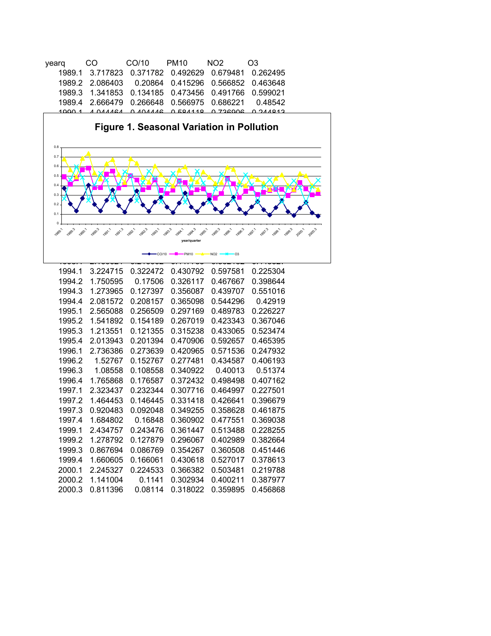| vearg | CO                                                       | CO/10  PM10 | NO <sub>2</sub> | O <sub>3</sub>                                     |
|-------|----------------------------------------------------------|-------------|-----------------|----------------------------------------------------|
|       | 1989.1 3.717823 0.371782 0.492629 0.679481 0.262495      |             |                 |                                                    |
|       | 1989.2 2.086403 0.20864 0.415296 0.566852 0.463648       |             |                 |                                                    |
|       | 1989.3  1.341853  0.134185  0.473456  0.491766  0.599021 |             |                 |                                                    |
|       |                                                          |             |                 | 1989.4 2.666479 0.266648 0.566975 0.686221 0.48542 |
|       |                                                          |             |                 | CHRANC Q QOQQT Q ARAMA Q ANAMA A ARAMA A AGOA      |



| 1994.1 | 3.224715 | 0.322472 | 0.430792 | 0.597581 | 0.225304 |
|--------|----------|----------|----------|----------|----------|
| 1994.2 | 1.750595 | 0.17506  | 0.326117 | 0.467667 | 0.398644 |
| 1994.3 | 1.273965 | 0.127397 | 0.356087 | 0.439707 | 0.551016 |
| 1994.4 | 2.081572 | 0.208157 | 0.365098 | 0.544296 | 0.42919  |
| 1995.1 | 2.565088 | 0.256509 | 0.297169 | 0.489783 | 0.226227 |
| 1995.2 | 1.541892 | 0.154189 | 0.267019 | 0.423343 | 0.367046 |
| 1995.3 | 1.213551 | 0.121355 | 0.315238 | 0.433065 | 0.523474 |
| 1995.4 | 2.013943 | 0.201394 | 0.470906 | 0.592657 | 0.465395 |
| 1996.1 | 2.736386 | 0.273639 | 0.420965 | 0.571536 | 0.247932 |
| 1996.2 | 1.52767  | 0.152767 | 0.277481 | 0.434587 | 0.406193 |
| 1996.3 | 1.08558  | 0.108558 | 0.340922 | 0.40013  | 0.51374  |
| 1996.4 | 1.765868 | 0.176587 | 0.372432 | 0.498498 | 0.407162 |
| 1997.1 | 2.323437 | 0.232344 | 0.307716 | 0.464997 | 0.227501 |
| 1997.2 | 1.464453 | 0.146445 | 0.331418 | 0.426641 | 0.396679 |
| 1997.3 | 0.920483 | 0.092048 | 0.349255 | 0.358628 | 0.461875 |
| 1997.4 | 1.684802 | 0.16848  | 0.360902 | 0.477551 | 0.369038 |
| 1999.1 | 2.434757 | 0.243476 | 0.361447 | 0.513488 | 0.228255 |
| 1999.2 | 1.278792 | 0.127879 | 0.296067 | 0.402989 | 0.382664 |
| 1999.3 | 0.867694 | 0.086769 | 0.354267 | 0.360508 | 0.451446 |
| 1999.4 | 1.660605 | 0.166061 | 0.430618 | 0.527017 | 0.378613 |
| 2000.1 | 2.245327 | 0.224533 | 0.366382 | 0.503481 | 0.219788 |
| 2000.2 | 1.141004 | 0.1141   | 0.302934 | 0.400211 | 0.387977 |
| 2000.3 | 0.811396 | 0.08114  | 0.318022 | 0.359895 | 0.456868 |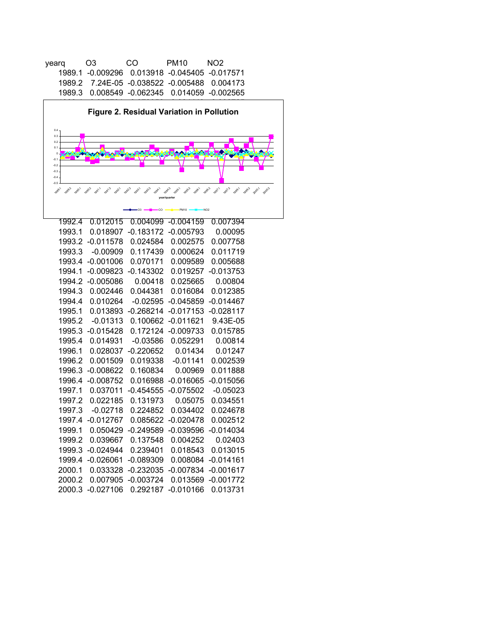| O <sub>3</sub> | CO. | PM <sub>10</sub> | NO2.                                                                                                                                                     |
|----------------|-----|------------------|----------------------------------------------------------------------------------------------------------------------------------------------------------|
|                |     |                  |                                                                                                                                                          |
|                |     |                  |                                                                                                                                                          |
|                |     |                  |                                                                                                                                                          |
|                |     |                  | 1989.1 -0.009296  0.013918  -0.045405  -0.017571<br>1989.2 7.24E-05 -0.038522 -0.005488 0.004173<br>1989.3   0.008549   -0.062345   0.014059   -0.002565 |



| 1992.4 | 0.012015    | 0.004099    | $-0.004159$ | 0.007394    |
|--------|-------------|-------------|-------------|-------------|
| 1993.1 | 0.018907    | $-0.183172$ | $-0.005793$ | 0.00095     |
| 1993.2 | $-0.011578$ | 0.024584    | 0.002575    | 0.007758    |
| 1993.3 | $-0.00909$  | 0.117439    | 0.000624    | 0.011719    |
| 1993.4 | $-0.001006$ | 0.070171    | 0.009589    | 0.005688    |
| 1994.1 | $-0.009823$ | $-0.143302$ | 0.019257    | $-0.013753$ |
| 1994.2 | $-0.005086$ | 0.00418     | 0.025665    | 0.00804     |
| 1994.3 | 0.002446    | 0.044381    | 0.016084    | 0.012385    |
| 1994.4 | 0.010264    | $-0.02595$  | $-0.045859$ | $-0.014467$ |
| 1995.1 | 0.013893    | $-0.268214$ | $-0.017153$ | $-0.028117$ |
| 1995.2 | $-0.01313$  | 0.100662    | $-0.011621$ | 9.43E-05    |
| 1995.3 | $-0.015428$ | 0.172124    | $-0.009733$ | 0.015785    |
| 1995.4 | 0.014931    | $-0.03586$  | 0.052291    | 0.00814     |
| 1996.1 | 0.028037    | $-0.220652$ | 0.01434     | 0.01247     |
| 1996.2 | 0.001509    | 0.019338    | $-0.01141$  | 0.002539    |
| 1996.3 | $-0.008622$ | 0.160834    | 0.00969     | 0.011888    |
| 1996.4 | $-0.008752$ | 0.016988    | $-0.016065$ | $-0.015056$ |
| 1997.1 | 0.037011    | $-0.454555$ | $-0.075502$ | $-0.05023$  |
| 1997.2 | 0.022185    | 0.131973    | 0.05075     | 0.034551    |
| 1997.3 | $-0.02718$  | 0.224852    | 0.034402    | 0.024678    |
| 1997.4 | $-0.012767$ | 0.085622    | -0.020478   | 0.002512    |
| 1999.1 | 0.050429    | $-0.249589$ | $-0.039596$ | $-0.014034$ |
| 1999.2 | 0.039667    | 0.137548    | 0.004252    | 0.02403     |
| 1999.3 | $-0.024944$ | 0.239401    | 0.018543    | 0.013015    |
| 1999.4 | $-0.026061$ | -0.089309   | 0.008084    | $-0.014161$ |
| 2000.1 | 0.033328    | -0.232035   | $-0.007834$ | $-0.001617$ |
| 2000.2 | 0.007905    | -0.003724   | 0.013569    | $-0.001772$ |
| 2000.3 | $-0.027106$ | 0.292187    | $-0.010166$ | 0.013731    |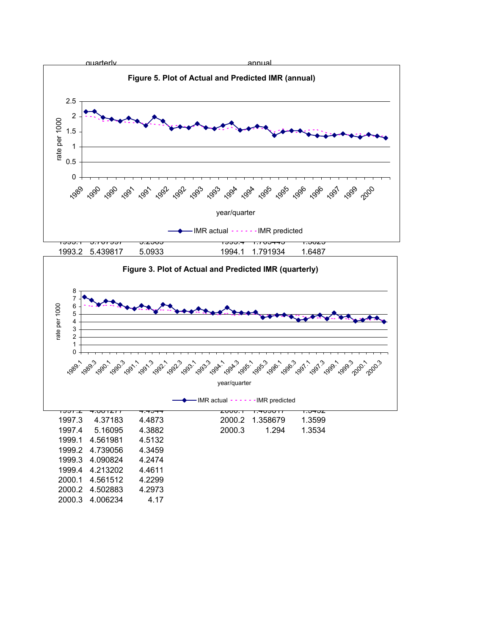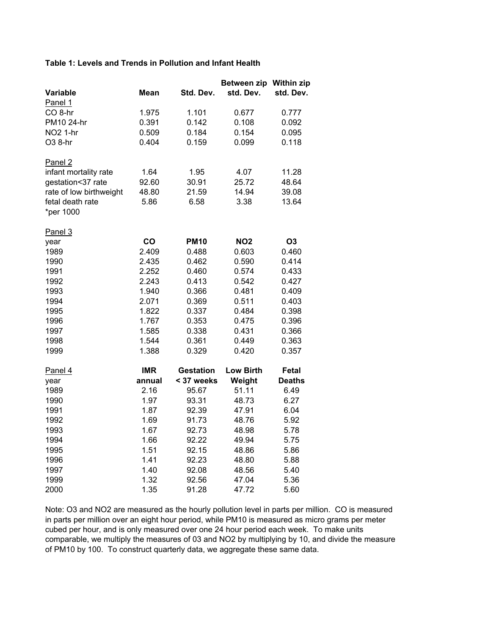#### **Table 1: Levels and Trends in Pollution and Infant Health**

|                         |            |                  | <b>Between zip</b><br>std. Dev. | <b>Within zip</b> |
|-------------------------|------------|------------------|---------------------------------|-------------------|
| Variable                | Mean       | Std. Dev.        |                                 | std. Dev.         |
| Panel 1                 |            |                  |                                 |                   |
| CO <sub>8-hr</sub>      | 1.975      | 1.101            | 0.677                           | 0.777             |
| PM10 24-hr              | 0.391      | 0.142            | 0.108                           | 0.092             |
| NO <sub>2</sub> 1-hr    | 0.509      | 0.184            | 0.154                           | 0.095             |
| O3 8-hr                 | 0.404      | 0.159            | 0.099                           | 0.118             |
| Panel <sub>2</sub>      |            |                  |                                 |                   |
| infant mortality rate   | 1.64       | 1.95             | 4.07                            | 11.28             |
| gestation<37 rate       | 92.60      | 30.91            | 25.72                           | 48.64             |
| rate of low birthweight | 48.80      | 21.59            | 14.94                           | 39.08             |
| fetal death rate        | 5.86       | 6.58             | 3.38                            | 13.64             |
| *per 1000               |            |                  |                                 |                   |
| Panel 3                 |            |                  |                                 |                   |
| year                    | co         | <b>PM10</b>      | <b>NO2</b>                      | O <sub>3</sub>    |
| 1989                    | 2.409      | 0.488            | 0.603                           | 0.460             |
| 1990                    | 2.435      | 0.462            | 0.590                           | 0.414             |
| 1991                    | 2.252      | 0.460            | 0.574                           | 0.433             |
| 1992                    | 2.243      | 0.413            | 0.542                           | 0.427             |
| 1993                    | 1.940      | 0.366            | 0.481                           | 0.409             |
| 1994                    | 2.071      | 0.369            | 0.511                           | 0.403             |
| 1995                    | 1.822      | 0.337            | 0.484                           | 0.398             |
| 1996                    | 1.767      | 0.353            | 0.475                           | 0.396             |
| 1997                    | 1.585      | 0.338            | 0.431                           | 0.366             |
| 1998                    | 1.544      | 0.361            | 0.449                           | 0.363             |
| 1999                    | 1.388      | 0.329            | 0.420                           | 0.357             |
| Panel 4                 | <b>IMR</b> | <b>Gestation</b> | <b>Low Birth</b>                | Fetal             |
| year                    | annual     | < 37 weeks       | Weight                          | <b>Deaths</b>     |
| 1989                    | 2.16       | 95.67            | 51.11                           | 6.49              |
| 1990                    | 1.97       | 93.31            | 48.73                           | 6.27              |
| 1991                    | 1.87       | 92.39            | 47.91                           | 6.04              |
| 1992                    | 1.69       | 91.73            | 48.76                           | 5.92              |
| 1993                    | 1.67       | 92.73            | 48.98                           | 5.78              |
| 1994                    | 1.66       | 92.22            | 49.94                           | 5.75              |
| 1995                    | 1.51       | 92.15            | 48.86                           | 5.86              |
| 1996                    | 1.41       | 92.23            | 48.80                           | 5.88              |
| 1997                    | 1.40       | 92.08            | 48.56                           | 5.40              |
| 1999                    | 1.32       | 92.56            | 47.04                           | 5.36              |
| 2000                    | 1.35       | 91.28            | 47.72                           | 5.60              |

Note: O3 and NO2 are measured as the hourly pollution level in parts per million. CO is measured in parts per million over an eight hour period, while PM10 is measured as micro grams per meter cubed per hour, and is only measured over one 24 hour period each week. To make units comparable, we multiply the measures of 03 and NO2 by multiplying by 10, and divide the measure of PM10 by 100. To construct quarterly data, we aggregate these same data.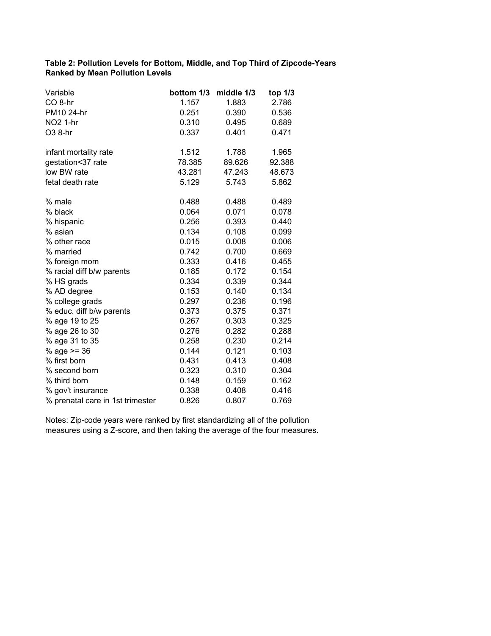### **Table 2: Pollution Levels for Bottom, Middle, and Top Third of Zipcode-Years Ranked by Mean Pollution Levels**

| Variable                         | bottom 1/3 | middle 1/3 | top 1/3 |
|----------------------------------|------------|------------|---------|
| CO <sub>8-hr</sub>               | 1.157      | 1.883      | 2.786   |
| PM10 24-hr                       | 0.251      | 0.390      | 0.536   |
| <b>NO2 1-hr</b>                  | 0.310      | 0.495      | 0.689   |
| O3 8-hr                          | 0.337      | 0.401      | 0.471   |
| infant mortality rate            | 1.512      | 1.788      | 1.965   |
| gestation<37 rate                | 78.385     | 89.626     | 92.388  |
| low BW rate                      | 43.281     | 47.243     | 48.673  |
| fetal death rate                 | 5.129      | 5.743      | 5.862   |
| % male                           | 0.488      | 0.488      | 0.489   |
| % black                          | 0.064      | 0.071      | 0.078   |
| % hispanic                       | 0.256      | 0.393      | 0.440   |
| % asian                          | 0.134      | 0.108      | 0.099   |
| % other race                     | 0.015      | 0.008      | 0.006   |
| % married                        | 0.742      | 0.700      | 0.669   |
| % foreign mom                    | 0.333      | 0.416      | 0.455   |
| % racial diff b/w parents        | 0.185      | 0.172      | 0.154   |
| % HS grads                       | 0.334      | 0.339      | 0.344   |
| % AD degree                      | 0.153      | 0.140      | 0.134   |
| % college grads                  | 0.297      | 0.236      | 0.196   |
| % educ. diff b/w parents         | 0.373      | 0.375      | 0.371   |
| % age 19 to 25                   | 0.267      | 0.303      | 0.325   |
| % age 26 to 30                   | 0.276      | 0.282      | 0.288   |
| % age 31 to 35                   | 0.258      | 0.230      | 0.214   |
| % age $>= 36$                    | 0.144      | 0.121      | 0.103   |
| % first born                     | 0.431      | 0.413      | 0.408   |
| % second born                    | 0.323      | 0.310      | 0.304   |
| % third born                     | 0.148      | 0.159      | 0.162   |
| % gov't insurance                | 0.338      | 0.408      | 0.416   |
| % prenatal care in 1st trimester | 0.826      | 0.807      | 0.769   |

Notes: Zip-code years were ranked by first standardizing all of the pollution measures using a Z-score, and then taking the average of the four measures.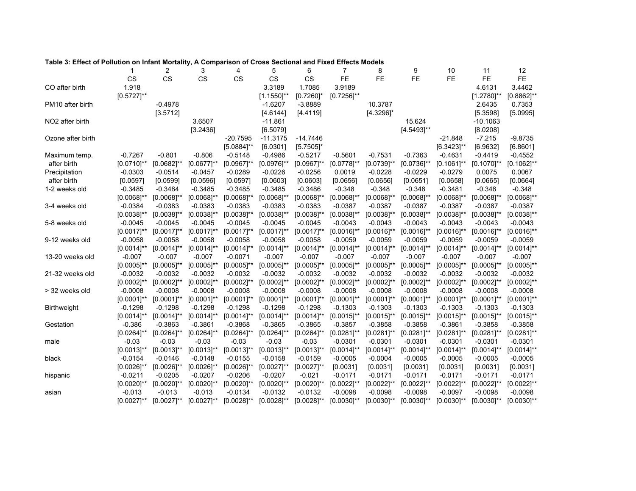#### **Table 3: Effect of Pollution on Infant Mortality, A Comparison of Cross Sectional and Fixed Effects Models**

|                              | 1               | 2               | 3               | 4               | 5               | 6               | 7               | 8                       | 9               | 10              | 11              | 12              |
|------------------------------|-----------------|-----------------|-----------------|-----------------|-----------------|-----------------|-----------------|-------------------------|-----------------|-----------------|-----------------|-----------------|
|                              | <b>CS</b>       | <b>CS</b>       | CS              | <b>CS</b>       | <b>CS</b>       | <b>CS</b>       | <b>FE</b>       | <b>FE</b>               | <b>FE</b>       | <b>FE</b>       | <b>FE</b>       | <b>FE</b>       |
| CO after birth               | 1.918           |                 |                 |                 | 3.3189          | 1.7085          | 3.9189          |                         |                 |                 | 4.6131          | 3.4462          |
|                              | $[0.5727]$ **   |                 |                 |                 | $[1.1550]$ **   | $[0.7260]$ *    | $[0.7256]^{**}$ |                         |                 |                 | $[1.2780]^{**}$ | $[0.8862]$ **   |
| PM <sub>10</sub> after birth |                 | $-0.4978$       |                 |                 | $-1.6207$       | $-3.8889$       |                 | 10.3787                 |                 |                 | 2.6435          | 0.7353          |
|                              |                 | [3.5712]        |                 |                 | [4.6144]        | [4.4119]        |                 | $[4.3296]$ <sup>*</sup> |                 |                 | [5.3598]        | [5.0995]        |
| NO <sub>2</sub> after birth  |                 |                 | 3.6507          |                 | $-11.861$       |                 |                 |                         | 15.624          |                 | $-10.1063$      |                 |
|                              |                 |                 | [3.2436]        |                 | [6.5079]        |                 |                 |                         | $[4.5493]^{**}$ |                 | [8.0208]        |                 |
| Ozone after birth            |                 |                 |                 | $-20.7595$      | $-11.3175$      | $-14.7446$      |                 |                         |                 | $-21.848$       | $-7.215$        | $-9.8735$       |
|                              |                 |                 |                 | $[5.0884]^{**}$ | [6.0301]        | $[5.7505]$ *    |                 |                         |                 | $[6.3423]$ **   | [6.9632]        | [6.8601]        |
| Maximum temp.                | $-0.7267$       | $-0.801$        | $-0.806$        | $-0.5148$       | $-0.4986$       | $-0.5217$       | $-0.5601$       | $-0.7531$               | $-0.7363$       | $-0.4631$       | $-0.4419$       | $-0.4552$       |
| after birth                  | $[0.0710]$ **   | $[0.0682]$ **   | $[0.0677]$ **   | $[0.0967]^{**}$ | $[0.0976]$ **   | $[0.0967]$ **   | $[0.0778]$ **   | $[0.0739]^{**}$         | $[0.0736]^{**}$ | $[0.1061]$ **   | $[0.1070]^{**}$ | $[0.1062]$ **   |
| Precipitation                | $-0.0303$       | $-0.0514$       | $-0.0457$       | $-0.0289$       | $-0.0226$       | $-0.0256$       | 0.0019          | $-0.0228$               | $-0.0229$       | $-0.0279$       | 0.0075          | 0.0067          |
| after birth                  | [0.0597]        | [0.0599]        | [0.0596]        | [0.0597]        | [0.0603]        | [0.0603]        | [0.0656]        | [0.0656]                | [0.0651]        | [0.0658]        | [0.0665]        | [0.0664]        |
| 1-2 weeks old                | $-0.3485$       | $-0.3484$       | $-0.3485$       | $-0.3485$       | $-0.3485$       | $-0.3486$       | $-0.348$        | $-0.348$                | $-0.348$        | $-0.3481$       | $-0.348$        | $-0.348$        |
|                              | $[0.0068]$ **   | $[0.0068]$ **   | $[0.0068]$ **   | $[0.0068]$ **   | $[0.0068]$ **   | $[0.0068]$ **   | $[0.0068]^{**}$ | $[0.0068]^{**}$         | $[0.0068]$ **   | $[0.0068]^{**}$ | $[0.0068]$ **   | $[0.0068]$ **   |
| 3-4 weeks old                | $-0.0384$       | $-0.0383$       | $-0.0383$       | $-0.0383$       | $-0.0383$       | $-0.0383$       | $-0.0387$       | $-0.0387$               | $-0.0387$       | $-0.0387$       | $-0.0387$       | $-0.0387$       |
|                              | $[0.0038]^{**}$ | $[0.0038]$ **   | $[0.0038]^{**}$ | $[0.0038]^{**}$ | $[0.0038]^{**}$ | $[0.0038]^{**}$ | $[0.0038]$ **   | $[0.0038]^{**}$         | $[0.0038]^{**}$ | $[0.0038]$ **   | $[0.0038]^{**}$ | $[0.0038]$ **   |
| 5-8 weeks old                | $-0.0045$       | $-0.0045$       | $-0.0045$       | $-0.0045$       | $-0.0045$       | $-0.0045$       | $-0.0043$       | $-0.0043$               | $-0.0043$       | $-0.0043$       | $-0.0043$       | $-0.0043$       |
|                              | $[0.0017]$ **   | $[0.0017]$ **   | $[0.0017]$ **   | $[0.0017]$ **   | $[0.0017]$ **   | $[0.0017]$ **   | $[0.0016]^{**}$ | $[0.0016]^{**}$         | $[0.0016]^{**}$ | $[0.0016]$ **   | $[0.0016]^{**}$ | $[0.0016]$ **   |
| 9-12 weeks old               | $-0.0058$       | $-0.0058$       | $-0.0058$       | $-0.0058$       | $-0.0058$       | $-0.0058$       | $-0.0059$       | $-0.0059$               | $-0.0059$       | $-0.0059$       | $-0.0059$       | $-0.0059$       |
|                              | $[0.0014]^{**}$ | $[0.0014]$ **   | $[0.0014]^{**}$ | $[0.0014]^{**}$ | $[0.0014]^{**}$ | $[0.0014]^{**}$ | $[0.0014]^{**}$ | $[0.0014]^{**}$         | $[0.0014]^{**}$ | $[0.0014]^{**}$ | $[0.0014]^{**}$ | $[0.0014]^{**}$ |
| 13-20 weeks old              | $-0.007$        | $-0.007$        | $-0.007$        | $-0.0071$       | $-0.007$        | $-0.007$        | $-0.007$        | $-0.007$                | $-0.007$        | $-0.007$        | $-0.007$        | $-0.007$        |
|                              | $[0.0005]^{**}$ | $[0.0005]^{**}$ | $[0.0005]$ **   | $[0.0005]^{**}$ | $[0.0005]^{**}$ | $[0.0005]$ **   | $[0.0005]^{**}$ | $[0.0005]^{**}$         | $[0.0005]^{**}$ | $[0.0005]^{**}$ | $[0.0005]^{**}$ | $[0.0005]^{**}$ |
| 21-32 weeks old              | $-0.0032$       | $-0.0032$       | $-0.0032$       | $-0.0032$       | $-0.0032$       | $-0.0032$       | $-0.0032$       | $-0.0032$               | $-0.0032$       | $-0.0032$       | $-0.0032$       | $-0.0032$       |
|                              | $[0.0002]^{**}$ | $[0.0002]^{**}$ | $[0.0002]^{**}$ | $[0.0002]^{**}$ | $[0.0002]^{**}$ | $[0.0002]^{**}$ | $[0.0002]^{**}$ | $[0.0002]^{**}$         | $[0.0002]^{**}$ | $[0.0002]^{**}$ | $[0.0002]^{**}$ | $[0.0002]^{**}$ |
| > 32 weeks old               | $-0.0008$       | $-0.0008$       | $-0.0008$       | $-0.0008$       | $-0.0008$       | $-0.0008$       | $-0.0008$       | $-0.0008$               | $-0.0008$       | $-0.0008$       | $-0.0008$       | $-0.0008$       |
|                              | $[0.0001]$ **   | $[0.0001]$ **   | $[0.0001]$ **   | $[0.0001]^{**}$ | $[0.0001]^{**}$ | $[0.0001]$ **   | $[0.0001]^{**}$ | $[0.0001]^{**}$         | $[0.0001]$ **   | $[0.0001]$ **   | $[0.0001]$ **   | $[0.0001]$ **   |
| <b>Birthweight</b>           | $-0.1298$       | $-0.1298$       | $-0.1298$       | $-0.1298$       | $-0.1298$       | $-0.1298$       | $-0.1303$       | $-0.1303$               | $-0.1303$       | $-0.1303$       | $-0.1303$       | $-0.1303$       |
|                              | $[0.0014]$ **   | $[0.0014]^{**}$ | $[0.0014]^{**}$ | $[0.0014]^{**}$ | $[0.0014]^{**}$ | $[0.0014]$ **   | $[0.0015]$ **   | $[0.0015]^{**}$         | $[0.0015]^{**}$ | $[0.0015]^{**}$ | $[0.0015]$ **   | $[0.0015]^{**}$ |
| Gestation                    | $-0.386$        | $-0.3863$       | $-0.3861$       | $-0.3868$       | $-0.3865$       | $-0.3865$       | $-0.3857$       | $-0.3858$               | $-0.3858$       | $-0.3861$       | $-0.3858$       | $-0.3858$       |
|                              | $[0.0264]$ **   | $[0.0264]$ **   | $[0.0264]^{**}$ | $[0.0264]^{**}$ | $[0.0264]$ **   | $[0.0264]^{**}$ | $[0.0281]$ **   | $[0.0281]$ **           | $[0.0281]$ **   | $[0.0281]$ **   | $[0.0281]$ **   | $[0.0281]$ **   |
| male                         | $-0.03$         | $-0.03$         | $-0.03$         | $-0.03$         | $-0.03$         | $-0.03$         | $-0.0301$       | $-0.0301$               | $-0.0301$       | $-0.0301$       | $-0.0301$       | $-0.0301$       |
|                              | $[0.0013]^{**}$ | $[0.0013]^{**}$ | $[0.0013]^{**}$ | $[0.0013]$ **   | $[0.0013]^{**}$ | $[0.0013]^{**}$ | $[0.0014]^{**}$ | $[0.0014]^{**}$         | $[0.0014]$ **   | $[0.0014]$ **   | $[0.0014]$ **   | $[0.0014]$ **   |
| black                        | $-0.0154$       | $-0.0146$       | $-0.0148$       | $-0.0155$       | $-0.0158$       | $-0.0159$       | $-0.0005$       | $-0.0004$               | $-0.0005$       | $-0.0005$       | $-0.0005$       | $-0.0005$       |
|                              | $[0.0026]$ **   | $[0.0026]$ **   | $[0.0026]$ **   | $[0.0026]$ **   | $[0.0027]$ **   | $[0.0027]$ **   | [0.0031]        | [0.0031]                | [0.0031]        | [0.0031]        | [0.0031]        | [0.0031]        |
| hispanic                     | $-0.0211$       | $-0.0205$       | $-0.0207$       | $-0.0206$       | $-0.0207$       | $-0.021$        | $-0.0171$       | $-0.0171$               | $-0.0171$       | $-0.0171$       | $-0.0171$       | $-0.0171$       |
|                              | $[0.0020]$ **   | $[0.0020]^{**}$ | $[0.0020]$ **   | $[0.0020]$ **   | $[0.0020]^{**}$ | $[0.0020]$ **   | $[0.0022]^{**}$ | $[0.0022]^{**}$         | $[0.0022]$ **   | $[0.0022]^{**}$ | $[0.0022]^{**}$ | $[0.0022]^{**}$ |
| asian                        | $-0.013$        | $-0.013$        | $-0.013$        | $-0.0134$       | $-0.0132$       | $-0.0132$       | $-0.0098$       | $-0.0098$               | $-0.0098$       | $-0.0097$       | $-0.0098$       | $-0.0098$       |
|                              | $[0.0027]$ **   | $[0.0027]$ **   | $[0.0027]$ **   | $[0.0028]^{**}$ | $[0.0028]^{**}$ | $[0.0028]^{**}$ | $[0.0030]$ **   | $[0.0030]^{**}$         | $[0.0030]^{**}$ | $[0.0030]$ **   | $[0.0030]^{**}$ | $[0.0030]^{**}$ |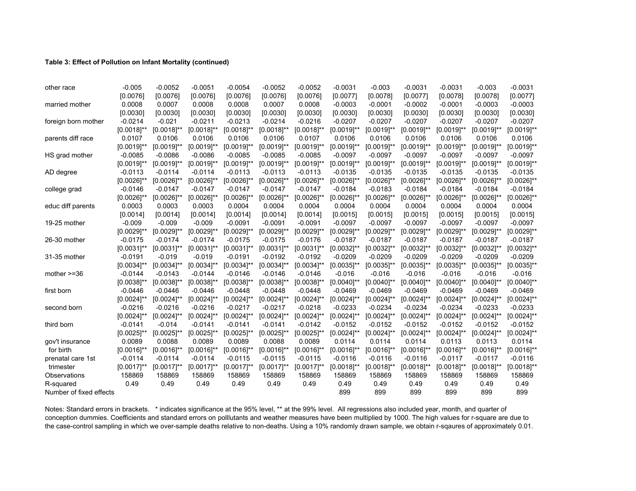#### **Table 3: Effect of Pollution on Infant Mortality (continued)**

| married mother          | [0.0076]<br>0.0008<br>[0.0030]<br>$-0.0214$<br>$[0.0018]^{**}$<br>0.0107 | [0.0076]<br>0.0007<br>[0.0030]<br>$-0.021$ | [0.0076]<br>0.0008<br>[0.0030] | [0.0076]<br>0.0008<br>[0.0030] | [0.0076]<br>0.0007 | [0.0076]<br>0.0008 | [0.0077]<br>$-0.0003$ | [0.0078]<br>$-0.0001$ | [0.0077]        | [0.0078]        | [0.0078]        | [0.0077]        |
|-------------------------|--------------------------------------------------------------------------|--------------------------------------------|--------------------------------|--------------------------------|--------------------|--------------------|-----------------------|-----------------------|-----------------|-----------------|-----------------|-----------------|
|                         |                                                                          |                                            |                                |                                |                    |                    |                       |                       |                 |                 |                 |                 |
|                         |                                                                          |                                            |                                |                                |                    |                    |                       |                       | $-0.0002$       | $-0.0001$       | $-0.0003$       | $-0.0003$       |
|                         |                                                                          |                                            |                                |                                | [0.0030]           | [0.0030]           | [0.0030]              | [0.0030]              | [0.0030]        | [0.0030]        | [0.0030]        | [0.0030]        |
| foreign born mother     |                                                                          |                                            | $-0.0211$                      | $-0.0213$                      | $-0.0214$          | $-0.0216$          | $-0.0207$             | $-0.0207$             | $-0.0207$       | $-0.0207$       | $-0.0207$       | $-0.0207$       |
|                         |                                                                          | $[0.0018]^{**}$                            | $[0.0018]^{**}$                | $[0.0018]^{**}$                | $[0.0018]^{**}$    | $[0.0018]^{**}$    | $[0.0019]$ **         | $[0.0019]^{**}$       | $[0.0019]^{**}$ | $[0.0019]$ **   | $[0.0019]^{**}$ | $[0.0019]^{**}$ |
| parents diff race       |                                                                          | 0.0106                                     | 0.0106                         | 0.0106                         | 0.0106             | 0.0107             | 0.0106                | 0.0106                | 0.0106          | 0.0106          | 0.0106          | 0.0106          |
|                         | $[0.0019]^{**}$                                                          | $[0.0019]^{**}$                            | $[0.0019]^{**}$                | $[0.0019]$ **                  | $[0.0019]^{**}$    | $[0.0019]^{**}$    | $[0.0019]$ **         | $[0.0019]^{**}$       | $[0.0019]^{**}$ | $[0.0019]$ **   | $[0.0019]$ **   | $[0.0019]^{**}$ |
| HS grad mother          | $-0.0085$                                                                | $-0.0086$                                  | $-0.0086$                      | $-0.0085$                      | $-0.0085$          | $-0.0085$          | $-0.0097$             | $-0.0097$             | $-0.0097$       | $-0.0097$       | $-0.0097$       | $-0.0097$       |
|                         | $[0.0019]$ **                                                            | $[0.0019]^{**}$                            | $[0.0019]$ **                  | $[0.0019]$ **                  | $[0.0019]$ **      | $[0.0019]^{**}$    | $[0.0019]$ **         | $[0.0019]^{**}$       | $[0.0019]$ **   | $[0.0019]^{**}$ | $[0.0019]$ **   | $[0.0019]$ **   |
| AD degree               | $-0.0113$                                                                | $-0.0114$                                  | $-0.0114$                      | $-0.0113$                      | $-0.0113$          | $-0.0113$          | $-0.0135$             | $-0.0135$             | $-0.0135$       | $-0.0135$       | $-0.0135$       | $-0.0135$       |
|                         | $[0.0026]$ **                                                            | $[0.0026]$ **                              | $[0.0026]$ **                  | $[0.0026]$ **                  | $[0.0026]$ **      | $[0.0026]$ **      | $[0.0026]$ **         | $[0.0026]^{**}$       | $[0.0026]$ **   | $[0.0026]$ **   | $[0.0026]$ **   | $[0.0026]$ **   |
| college grad            | $-0.0146$                                                                | $-0.0147$                                  | $-0.0147$                      | $-0.0147$                      | $-0.0147$          | $-0.0147$          | $-0.0184$             | $-0.0183$             | $-0.0184$       | $-0.0184$       | $-0.0184$       | $-0.0184$       |
|                         | $[0.0026]$ **                                                            | $[0.0026]^{**}$                            | $[0.0026]^{**}$                | $[0.0026]$ **                  | $[0.0026]^{**}$    | $[0.0026]$ **      | $[0.0026]^{**}$       | $[0.0026]^{**}$       | $[0.0026]$ **   | $[0.0026]^{**}$ | $[0.0026]^{**}$ | $[0.0026]$ **   |
| educ diff parents       | 0.0003                                                                   | 0.0003                                     | 0.0003                         | 0.0004                         | 0.0004             | 0.0004             | 0.0004                | 0.0004                | 0.0004          | 0.0004          | 0.0004          | 0.0004          |
|                         | [0.0014]                                                                 | [0.0014]                                   | [0.0014]                       | [0.0014]                       | [0.0014]           | [0.0014]           | [0.0015]              | [0.0015]              | [0.0015]        | [0.0015]        | [0.0015]        | [0.0015]        |
| 19-25 mother            | $-0.009$                                                                 | $-0.009$                                   | $-0.009$                       | $-0.0091$                      | $-0.0091$          | $-0.0091$          | $-0.0097$             | $-0.0097$             | $-0.0097$       | $-0.0097$       | $-0.0097$       | $-0.0097$       |
|                         | $[0.0029]^{**}$                                                          | $[0.0029]$ **                              | $[0.0029]$ **                  | $[0.0029]$ **                  | $[0.0029]$ **      | $[0.0029]$ **      | $[0.0029]$ **         | $[0.0029]$ **         | $[0.0029]$ **   | $[0.0029]$ **   | $[0.0029]$ **   | $[0.0029]$ **   |
| 26-30 mother            | $-0.0175$                                                                | $-0.0174$                                  | $-0.0174$                      | $-0.0175$                      | $-0.0175$          | $-0.0176$          | $-0.0187$             | $-0.0187$             | $-0.0187$       | $-0.0187$       | $-0.0187$       | $-0.0187$       |
|                         | $[0.0031]$ **                                                            | $[0.0031]$ **                              | $[0.0031]$ **                  | $[0.0031]$ **                  | $[0.0031]$ **      | $[0.0031]$ **      | $[0.0032]^{**}$       | $[0.0032]$ **         | $[0.0032]^{**}$ | $[0.0032]^{**}$ | $[0.0032]^{**}$ | $[0.0032]$ **   |
| 31-35 mother            | $-0.0191$                                                                | $-0.019$                                   | $-0.019$                       | $-0.0191$                      | $-0.0192$          | $-0.0192$          | $-0.0209$             | $-0.0209$             | $-0.0209$       | $-0.0209$       | $-0.0209$       | $-0.0209$       |
|                         | $[0.0034]$ **                                                            | $[0.0034]^{**}$                            | $[0.0034]^{**}$                | $[0.0034]^{**}$                | $[0.0034]$ **      | $[0.0034]^{**}$    | $[0.0035]^{**}$       | $[0.0035]^{**}$       | $[0.0035]^{**}$ | $[0.0035]^{**}$ | $[0.0035]^{**}$ | $[0.0035]$ **   |
| mother $>=36$           | $-0.0144$                                                                | $-0.0143$                                  | $-0.0144$                      | $-0.0146$                      | $-0.0146$          | $-0.0146$          | $-0.016$              | $-0.016$              | $-0.016$        | $-0.016$        | $-0.016$        | $-0.016$        |
|                         | $[0.0038]^{**}$                                                          | $[0.0038]$ **                              | $[0.0038]^{**}$                | $[0.0038]^{**}$                | $[0.0038]$ **      | $[0.0038]^{**}$    | $[0.0040]^{**}$       | $[0.0040]^{**}$       | $[0.0040]^{**}$ | $[0.0040]$ **   | $[0.0040]$ **   | $[0.0040]$ **   |
| first born              | $-0.0446$                                                                | $-0.0446$                                  | $-0.0446$                      | $-0.0448$                      | $-0.0448$          | $-0.0448$          | $-0.0469$             | $-0.0469$             | $-0.0469$       | $-0.0469$       | $-0.0469$       | $-0.0469$       |
|                         | $[0.0024]^{**}$                                                          | $[0.0024]^{**}$                            | $[0.0024]^{**}$                | $[0.0024]^{**}$                | $[0.0024]$ **      | $[0.0024]^{**}$    | $[0.0024]^{**}$       | $[0.0024]^{**}$       | $[0.0024]^{**}$ | $[0.0024]^{**}$ | $[0.0024]^{**}$ | $[0.0024]^{**}$ |
| second born             | $-0.0216$                                                                | $-0.0216$                                  | $-0.0216$                      | $-0.0217$                      | $-0.0217$          | $-0.0218$          | $-0.0233$             | $-0.0234$             | $-0.0234$       | $-0.0234$       | $-0.0233$       | $-0.0233$       |
|                         | $[0.0024]$ **                                                            | $[0.0024]^{**}$                            | $[0.0024]$ **                  | $[0.0024]^{**}$                | $[0.0024]$ **      | $[0.0024]^{**}$    | $[0.0024]^{**}$       | $[0.0024]^{**}$       | $[0.0024]^{**}$ | $[0.0024]^{**}$ | $[0.0024]^{**}$ | $[0.0024]$ **   |
| third born              | $-0.0141$                                                                | $-0.014$                                   | $-0.0141$                      | $-0.0141$                      | $-0.0141$          | $-0.0142$          | $-0.0152$             | $-0.0152$             | $-0.0152$       | $-0.0152$       | $-0.0152$       | $-0.0152$       |
|                         | $[0.0025]^{**}$                                                          | $[0.0025]^{**}$                            | $[0.0025]^{**}$                | $[0.0025]^{**}$                | $[0.0025]$ **      | $[0.0025]$ **      | $[0.0024]$ **         | $[0.0024]^{**}$       | $[0.0024]$ **   | $[0.0024]$ **   | $[0.0024]^{**}$ | $[0.0024]^{**}$ |
| gov't insurance         | 0.0089                                                                   | 0.0088                                     | 0.0089                         | 0.0089                         | 0.0088             | 0.0089             | 0.0114                | 0.0114                | 0.0114          | 0.0113          | 0.0113          | 0.0114          |
| for birth               | $[0.0016]^{**}$                                                          | $[0.0016]^{**}$                            | $[0.0016]^{**}$                | $[0.0016]^{**}$                | $[0.0016]$ **      | $[0.0016]^{**}$    | $[0.0016]^{**}$       | $[0.0016]^{**}$       | $[0.0016]^{**}$ | $[0.0016]$ **   | $[0.0016]^{**}$ | $[0.0016]^{**}$ |
| prenatal care 1st       | $-0.0114$                                                                | $-0.0114$                                  | $-0.0114$                      | $-0.0115$                      | $-0.0115$          | $-0.0115$          | $-0.0116$             | $-0.0116$             | $-0.0116$       | $-0.0117$       | $-0.0117$       | $-0.0116$       |
| trimester               | $[0.0017]$ **                                                            | $[0.0017]$ **                              | $[0.0017]$ **                  | $[0.0017]$ **                  | $[0.0017]$ **      | $[0.0017]$ **      | $[0.0018]^{**}$       | $[0.0018]^{**}$       | $[0.0018]^{**}$ | $[0.0018]$ **   | $[0.0018]^{**}$ | $[0.0018]^{**}$ |
| Observations            | 158869                                                                   | 158869                                     | 158869                         | 158869                         | 158869             | 158869             | 158869                | 158869                | 158869          | 158869          | 158869          | 158869          |
| R-squared               | 0.49                                                                     | 0.49                                       | 0.49                           | 0.49                           | 0.49               | 0.49               | 0.49                  | 0.49                  | 0.49            | 0.49            | 0.49            | 0.49            |
| Number of fixed effects |                                                                          |                                            |                                |                                |                    |                    | 899                   | 899                   | 899             | 899             | 899             | 899             |

Notes: Standard errors in brackets. \* indicates significance at the 95% level, \*\* at the 99% level. All regressions also included year, month, and quarter of conception dummies. Coefficients and standard errors on polllutants and weather measures have been multiplied by 1000. The high values for r-square are due to the case-control sampling in which we over-sample deaths relative to non-deaths. Using a 10% randomly drawn sample, we obtain r-sqaures of approximately 0.01.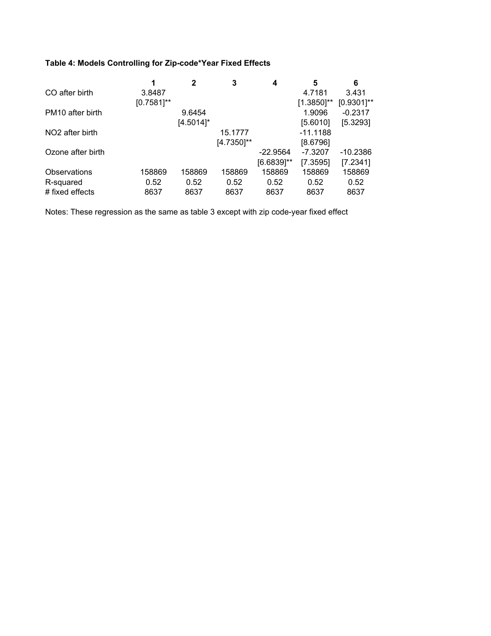## **Table 4: Models Controlling for Zip-code\*Year Fixed Effects**

|               | $\mathbf{2}$ | 3          | 4             | 5             | 6             |
|---------------|--------------|------------|---------------|---------------|---------------|
| 3.8487        |              |            |               | 4.7181        | 3.431         |
| $[0.7581]$ ** |              |            |               | $[1.3850]$ ** | $[0.9301]$ ** |
|               | 9.6454       |            |               | 1.9096        | $-0.2317$     |
|               | $[4.5014]$ * |            |               | [5.6010]      | [5.3293]      |
|               |              | 15.1777    |               | $-11.1188$    |               |
|               |              | [4.7350]** |               | [8.6796]      |               |
|               |              |            | $-22.9564$    | $-7.3207$     | $-10.2386$    |
|               |              |            | $[6.6839]$ ** | [7.3595]      | [7.2341]      |
| 158869        | 158869       | 158869     | 158869        | 158869        | 158869        |
| 0.52          | 0.52         | 0.52       | 0.52          | 0.52          | 0.52          |
| 8637          | 8637         | 8637       | 8637          | 8637          | 8637          |
|               |              |            |               |               |               |

Notes: These regression as the same as table 3 except with zip code-year fixed effect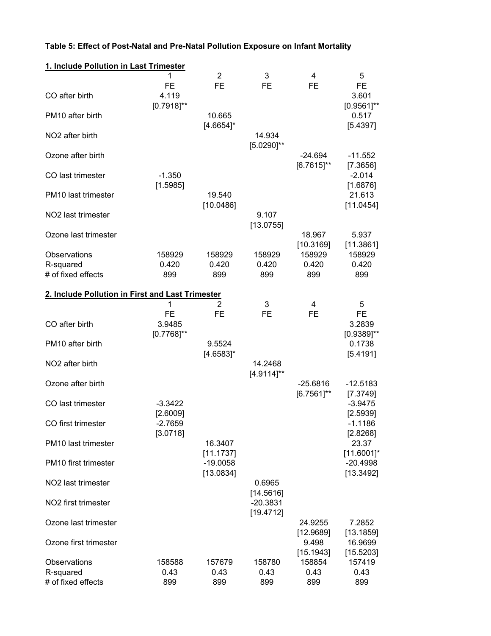| 1. Include Pollution in Last Trimester           |                                            |                         |                            |                             |                                          |
|--------------------------------------------------|--------------------------------------------|-------------------------|----------------------------|-----------------------------|------------------------------------------|
| CO after birth                                   | 1<br><b>FE</b><br>4.119<br>$[0.7918]^{**}$ | 2<br><b>FE</b>          | 3<br><b>FE</b>             | 4<br><b>FE</b>              | 5<br><b>FE</b><br>3.601<br>$[0.9561]$ ** |
| PM <sub>10</sub> after birth                     |                                            | 10.665                  |                            |                             | 0.517                                    |
| NO <sub>2</sub> after birth                      |                                            | $[4.6654]$ *            | 14.934<br>$[5.0290]^{**}$  |                             | [5.4397]                                 |
| Ozone after birth                                |                                            |                         |                            | $-24.694$<br>$[6.7615]$ **  | $-11.552$                                |
| CO last trimester                                | $-1.350$<br>[1.5985]                       |                         |                            |                             | [7.3656]<br>$-2.014$<br>[1.6876]         |
| PM <sub>10</sub> last trimester                  |                                            | 19.540<br>[10.0486]     |                            |                             | 21.613<br>[11.0454]                      |
| NO <sub>2</sub> last trimester                   |                                            |                         | 9.107<br>[13.0755]         |                             |                                          |
| Ozone last trimester                             |                                            |                         |                            | 18.967<br>[10.3169]         | 5.937<br>[11.3861]                       |
| Observations<br>R-squared<br># of fixed effects  | 158929<br>0.420<br>899                     | 158929<br>0.420<br>899  | 158929<br>0.420<br>899     | 158929<br>0.420<br>899      | 158929<br>0.420<br>899                   |
| 2. Include Pollution in First and Last Trimester |                                            |                         |                            |                             |                                          |
| CO after birth                                   | 1<br><b>FE</b><br>3.9485<br>$[0.7768]$ **  | 2<br><b>FE</b>          | 3<br><b>FE</b>             | 4<br><b>FE</b>              | 5<br><b>FE</b><br>3.2839                 |
| PM10 after birth                                 |                                            | 9.5524<br>$[4.6583]$ *  |                            |                             | $[0.9389]$ **<br>0.1738<br>[5.4191]      |
| NO <sub>2</sub> after birth                      |                                            |                         | 14.2468<br>$[4.9114]^{**}$ |                             |                                          |
| Ozone after birth                                |                                            |                         |                            | $-25.6816$<br>$[6.7561]$ ** | $-12.5183$<br>[7.3749]                   |
| CO last trimester                                | $-3.3422$<br>[2.6009]                      |                         |                            |                             | $-3.9475$<br>[2.5939]                    |
| CO first trimester                               | $-2.7659$<br>[3.0718]                      |                         |                            |                             | $-1.1186$<br>[2.8268]                    |
| PM10 last trimester                              |                                            | 16.3407<br>[11.1737]    |                            |                             | 23.37<br>$[11.6001]$ *                   |
| PM <sub>10</sub> first trimester                 |                                            | $-19.0058$<br>[13.0834] |                            |                             | $-20.4998$<br>[13.3492]                  |
| NO2 last trimester                               |                                            |                         | 0.6965<br>[14.5616]        |                             |                                          |
| NO2 first trimester                              |                                            |                         | $-20.3831$<br>[19.4712]    |                             |                                          |
| Ozone last trimester                             |                                            |                         |                            | 24.9255<br>[12.9689]        | 7.2852<br>[13.1859]                      |
| Ozone first trimester                            |                                            |                         |                            | 9.498<br>[15.1943]          | 16.9699<br>[15.5203]                     |
| Observations<br>R-squared<br># of fixed effects  | 158588<br>0.43<br>899                      | 157679<br>0.43<br>899   | 158780<br>0.43<br>899      | 158854<br>0.43<br>899       | 157419<br>0.43<br>899                    |

## **Table 5: Effect of Post-Natal and Pre-Natal Pollution Exposure on Infant Mortality**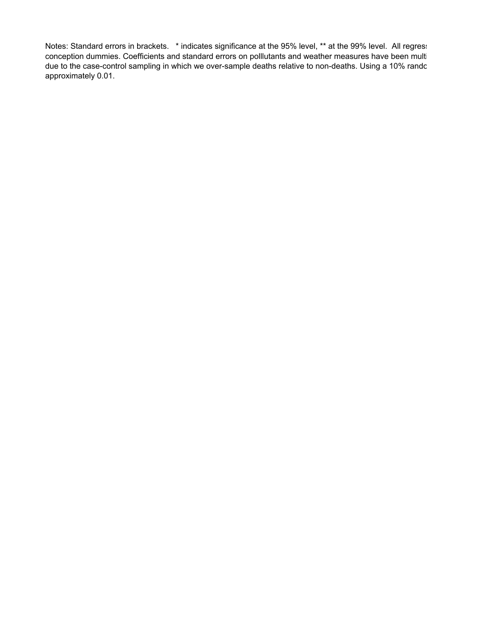Notes: Standard errors in brackets. \* indicates significance at the 95% level, \*\* at the 99% level. All regress conception dummies. Coefficients and standard errors on polllutants and weather measures have been multi due to the case-control sampling in which we over-sample deaths relative to non-deaths. Using a 10% rando approximately 0.01.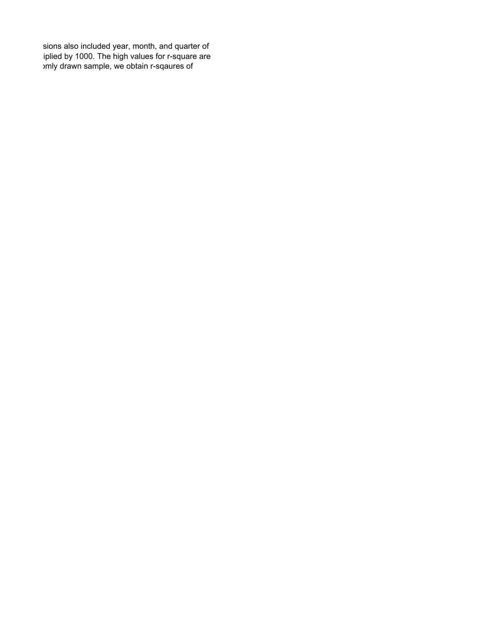sions also included year, month, and quarter of iplied by 1000. The high values for r-square are omly drawn sample, we obtain r-sqaures of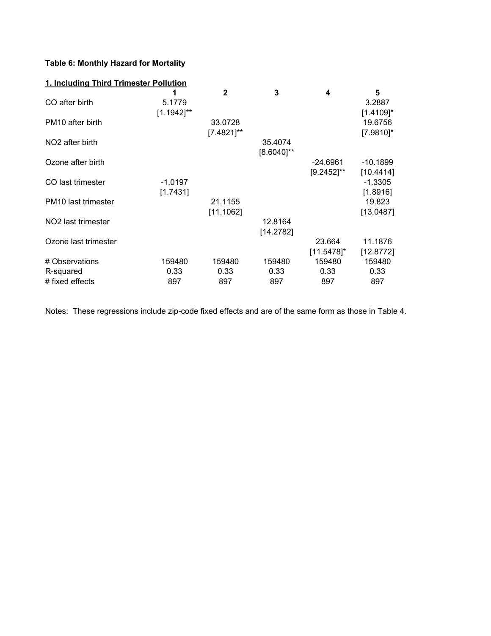## **Table 6: Monthly Hazard for Mortality**

| 1. Including Third Trimester Pollution |               |              |                 |               |              |  |  |  |  |
|----------------------------------------|---------------|--------------|-----------------|---------------|--------------|--|--|--|--|
|                                        | 1             | $\mathbf{2}$ | 3               | 4             | 5            |  |  |  |  |
| CO after birth                         | 5.1779        |              |                 |               | 3.2887       |  |  |  |  |
|                                        | $[1.1942]$ ** |              |                 |               | $[1.4109]$ * |  |  |  |  |
| PM <sub>10</sub> after birth           |               | 33.0728      |                 |               | 19.6756      |  |  |  |  |
|                                        |               | [7.4821]**   |                 |               | $[7.9810]$ * |  |  |  |  |
|                                        |               |              |                 |               |              |  |  |  |  |
| NO <sub>2</sub> after birth            |               |              | 35.4074         |               |              |  |  |  |  |
|                                        |               |              | $[8.6040]^{**}$ |               |              |  |  |  |  |
| Ozone after birth                      |               |              |                 | -24.6961      | -10.1899     |  |  |  |  |
|                                        |               |              |                 | $[9.2452]$ ** | [10.4414]    |  |  |  |  |
| CO last trimester                      | $-1.0197$     |              |                 |               | $-1.3305$    |  |  |  |  |
|                                        | [1.7431]      |              |                 |               | [1.8916]     |  |  |  |  |
| PM10 last trimester                    |               | 21.1155      |                 |               | 19.823       |  |  |  |  |
|                                        |               | [11.1062]    |                 |               | [13.0487]    |  |  |  |  |
| NO <sub>2</sub> last trimester         |               |              | 12.8164         |               |              |  |  |  |  |
|                                        |               |              | [14.2782]       |               |              |  |  |  |  |
| Ozone last trimester                   |               |              |                 | 23.664        | 11.1876      |  |  |  |  |
|                                        |               |              |                 |               |              |  |  |  |  |
|                                        |               |              |                 | $[11.5478]$ * | [12.8772]    |  |  |  |  |
| # Observations                         | 159480        | 159480       | 159480          | 159480        | 159480       |  |  |  |  |
| R-squared                              | 0.33          | 0.33         | 0.33            | 0.33          | 0.33         |  |  |  |  |
| # fixed effects                        | 897           | 897          | 897             | 897           | 897          |  |  |  |  |

Notes: These regressions include zip-code fixed effects and are of the same form as those in Table 4.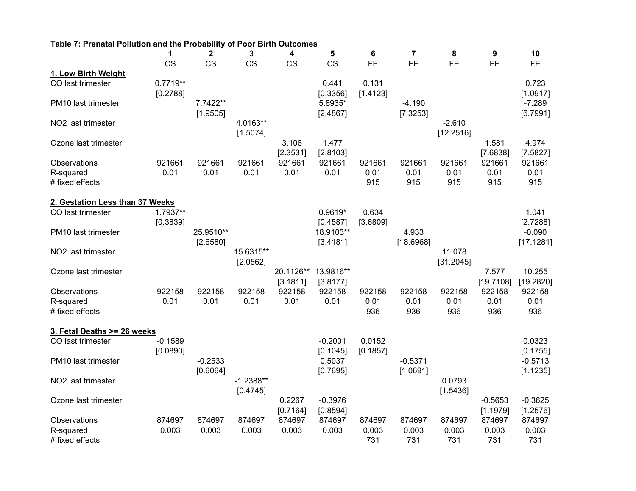| Table 7: Prenatal Pollution and the Probability of Poor Birth Outcomes |                        |                       |                         |                       |                       |                    |                       |                       |                       |                       |
|------------------------------------------------------------------------|------------------------|-----------------------|-------------------------|-----------------------|-----------------------|--------------------|-----------------------|-----------------------|-----------------------|-----------------------|
|                                                                        | 1                      | $\mathbf 2$           | 3                       | 4                     | 5                     | 6                  | $\overline{7}$        | 8                     | 9                     | 10                    |
|                                                                        | <b>CS</b>              | <b>CS</b>             | <b>CS</b>               | <b>CS</b>             | <b>CS</b>             | <b>FE</b>          | <b>FE</b>             | <b>FE</b>             | <b>FE</b>             | <b>FE</b>             |
| 1. Low Birth Weight                                                    |                        |                       |                         |                       |                       |                    |                       |                       |                       |                       |
| CO last trimester                                                      | $0.7719**$<br>[0.2788] |                       |                         |                       | 0.441<br>[0.3356]     | 0.131<br>[1.4123]  |                       |                       |                       | 0.723<br>[1.0917]     |
| PM10 last trimester                                                    |                        | 7.7422**<br>[1.9505]  |                         |                       | 5.8935*<br>[2.4867]   |                    | $-4.190$<br>[7.3253]  |                       |                       | $-7.289$<br>[6.7991]  |
| NO2 last trimester                                                     |                        |                       | 4.0163**<br>[1.5074]    |                       |                       |                    |                       | $-2.610$<br>[12.2516] |                       |                       |
| Ozone last trimester                                                   |                        |                       |                         | 3.106<br>[2.3531]     | 1.477<br>[2.8103]     |                    |                       |                       | 1.581<br>[7.6838]     | 4.974<br>[7.5827]     |
| Observations                                                           | 921661                 | 921661                | 921661                  | 921661                | 921661                | 921661             | 921661                | 921661                | 921661                | 921661                |
| R-squared                                                              | 0.01                   | 0.01                  | 0.01                    | 0.01                  | 0.01                  | 0.01               | 0.01                  | 0.01                  | 0.01                  | 0.01                  |
| # fixed effects                                                        |                        |                       |                         |                       |                       | 915                | 915                   | 915                   | 915                   | 915                   |
| 2. Gestation Less than 37 Weeks                                        |                        |                       |                         |                       |                       |                    |                       |                       |                       |                       |
| CO last trimester                                                      | 1.7937**<br>[0.3839]   |                       |                         |                       | $0.9619*$<br>[0.4587] | 0.634<br>[3.6809]  |                       |                       |                       | 1.041<br>[2.7288]     |
| PM10 last trimester                                                    |                        | 25.9510**<br>[2.6580] |                         |                       | 18.9103**<br>[3.4181] |                    | 4.933<br>[18.6968]    |                       |                       | $-0.090$<br>[17.1281] |
| NO <sub>2</sub> last trimester                                         |                        |                       | 15.6315**<br>[2.0562]   |                       |                       |                    |                       | 11.078<br>[31.2045]   |                       |                       |
| Ozone last trimester                                                   |                        |                       |                         | 20.1126**<br>[3.1811] | 13.9816**<br>[3.8177] |                    |                       |                       | 7.577<br>[19.7108]    | 10.255<br>[19.2820]   |
| Observations                                                           | 922158                 | 922158                | 922158                  | 922158                | 922158                | 922158             | 922158                | 922158                | 922158                | 922158                |
| R-squared                                                              | 0.01                   | 0.01                  | 0.01                    | 0.01                  | 0.01                  | 0.01               | 0.01                  | 0.01                  | 0.01                  | 0.01                  |
| # fixed effects                                                        |                        |                       |                         |                       |                       | 936                | 936                   | 936                   | 936                   | 936                   |
| 3. Fetal Deaths >= 26 weeks                                            |                        |                       |                         |                       |                       |                    |                       |                       |                       |                       |
| CO last trimester                                                      | $-0.1589$<br>[0.0890]  |                       |                         |                       | $-0.2001$<br>[0.1045] | 0.0152<br>[0.1857] |                       |                       |                       | 0.0323<br>[0.1755]    |
| PM10 last trimester                                                    |                        | $-0.2533$<br>[0.6064] |                         |                       | 0.5037<br>[0.7695]    |                    | $-0.5371$<br>[1.0691] |                       |                       | $-0.5713$<br>[1.1235] |
| NO2 last trimester                                                     |                        |                       | $-1.2388**$<br>[0.4745] |                       |                       |                    |                       | 0.0793<br>[1.5436]    |                       |                       |
| Ozone last trimester                                                   |                        |                       |                         | 0.2267<br>[0.7164]    | $-0.3976$<br>[0.8594] |                    |                       |                       | $-0.5653$<br>[1.1979] | $-0.3625$<br>[1.2576] |
| Observations                                                           | 874697                 | 874697                | 874697                  | 874697                | 874697                | 874697             | 874697                | 874697                | 874697                | 874697                |
| R-squared                                                              | 0.003                  | 0.003                 | 0.003                   | 0.003                 | 0.003                 | 0.003              | 0.003                 | 0.003                 | 0.003                 | 0.003                 |
| # fixed effects                                                        |                        |                       |                         |                       |                       | 731                | 731                   | 731                   | 731                   | 731                   |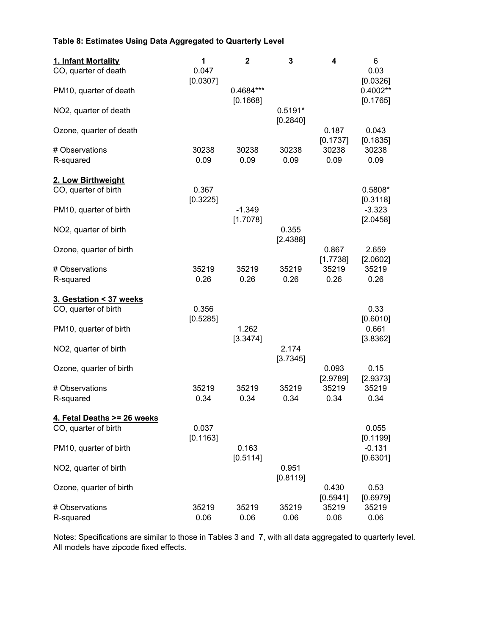### **Table 8: Estimates Using Data Aggregated to Quarterly Level**

| 1. Infant Mortality         | 1                 | $\mathbf{2}$          | 3                     | 4                 | 6                    |
|-----------------------------|-------------------|-----------------------|-----------------------|-------------------|----------------------|
| CO, quarter of death        | 0.047<br>[0.0307] |                       |                       |                   | 0.03<br>[0.0326]     |
| PM10, quarter of death      |                   | 0.4684***<br>[0.1668] |                       |                   | 0.4002**<br>[0.1765] |
| NO2, quarter of death       |                   |                       | $0.5191*$<br>[0.2840] |                   |                      |
| Ozone, quarter of death     |                   |                       |                       | 0.187<br>[0.1737] | 0.043<br>[0.1835]    |
| # Observations              | 30238             | 30238                 | 30238                 | 30238             | 30238                |
| R-squared                   | 0.09              | 0.09                  | 0.09                  | 0.09              | 0.09                 |
| 2. Low Birthweight          |                   |                       |                       |                   |                      |
| CO, quarter of birth        | 0.367             |                       |                       |                   | 0.5808*              |
| PM10, quarter of birth      | [0.3225]          | $-1.349$              |                       |                   | [0.3118]<br>$-3.323$ |
| NO2, quarter of birth       |                   | [1.7078]              | 0.355                 |                   | [2.0458]             |
|                             |                   |                       | [2.4388]              |                   |                      |
| Ozone, quarter of birth     |                   |                       |                       | 0.867<br>[1.7738] | 2.659<br>[2.0602]    |
| # Observations              | 35219             | 35219                 | 35219                 | 35219             | 35219                |
| R-squared                   | 0.26              | 0.26                  | 0.26                  | 0.26              | 0.26                 |
| 3. Gestation < 37 weeks     |                   |                       |                       |                   |                      |
| CO, quarter of birth        | 0.356             |                       |                       |                   | 0.33                 |
| PM10, quarter of birth      | [0.5285]          | 1.262                 |                       |                   | [0.6010]<br>0.661    |
|                             |                   | [3.3474]              |                       |                   | [3.8362]             |
| NO2, quarter of birth       |                   |                       | 2.174                 |                   |                      |
| Ozone, quarter of birth     |                   |                       | [3.7345]              | 0.093             | 0.15                 |
|                             |                   |                       |                       | [2.9789]          | [2.9373]             |
| # Observations<br>R-squared | 35219<br>0.34     | 35219<br>0.34         | 35219<br>0.34         | 35219<br>0.34     | 35219<br>0.34        |
|                             |                   |                       |                       |                   |                      |
| 4. Fetal Deaths >= 26 weeks |                   |                       |                       |                   |                      |
| CO, quarter of birth        | 0.037<br>[0.1163] |                       |                       |                   | 0.055<br>[0.1199]    |
| PM10, quarter of birth      |                   | 0.163                 |                       |                   | $-0.131$             |
|                             |                   | [0.5114]              | 0.951                 |                   | [0.6301]             |
| NO2, quarter of birth       |                   |                       | [0.8119]              |                   |                      |
| Ozone, quarter of birth     |                   |                       |                       | 0.430             | 0.53                 |
| # Observations              | 35219             | 35219                 | 35219                 | [0.5941]<br>35219 | [0.6979]<br>35219    |
| R-squared                   | 0.06              | 0.06                  | 0.06                  | 0.06              | 0.06                 |

Notes: Specifications are similar to those in Tables 3 and 7, with all data aggregated to quarterly level. All models have zipcode fixed effects.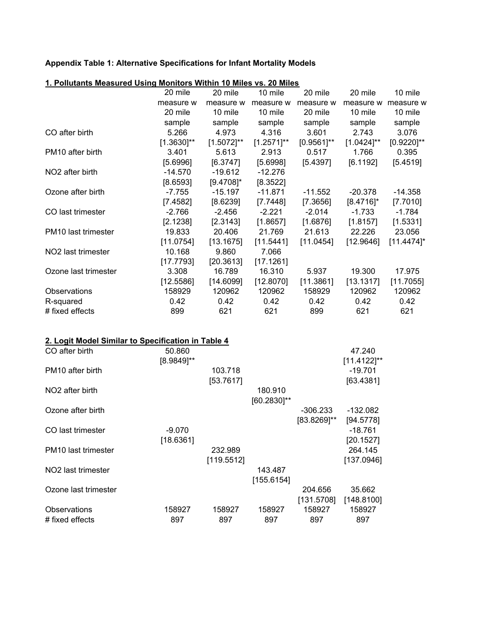## **Appendix Table 1: Alternative Specifications for Infant Mortality Models**

|                                 | 20 mile         | 20 mile         | 10 mile         | 20 mile       | 20 mile         | 10 mile       |
|---------------------------------|-----------------|-----------------|-----------------|---------------|-----------------|---------------|
|                                 | measure w       | measure w       | measure w       | measure w     | measure w       | measure w     |
|                                 | 20 mile         | 10 mile         | 10 mile         | 20 mile       | 10 mile         | 10 mile       |
|                                 | sample          | sample          | sample          | sample        | sample          | sample        |
| CO after birth                  | 5.266           | 4.973           | 4.316           | 3.601         | 2.743           | 3.076         |
|                                 | $[1.3630]^{**}$ | $[1.5072]^{**}$ | $[1.2571]^{**}$ | $[0.9561]$ ** | $[1.0424]^{**}$ | $[0.9220]$ ** |
| PM <sub>10</sub> after birth    | 3.401           | 5.613           | 2.913           | 0.517         | 1.766           | 0.395         |
|                                 | [5.6996]        | [6.3747]        | [5.6998]        | [5.4397]      | [6.1192]        | [5.4519]      |
| NO <sub>2</sub> after birth     | $-14.570$       | $-19.612$       | $-12.276$       |               |                 |               |
|                                 | [8.6593]        | $[9.4708]$ *    | [8.3522]        |               |                 |               |
| Ozone after birth               | $-7.755$        | $-15.197$       | -11.871         | $-11.552$     | $-20.378$       | $-14.358$     |
|                                 | [7.4582]        | [8.6239]        | [7.7448]        | [7.3656]      | $[8.4716]$ *    | [7.7010]      |
| CO last trimester               | $-2.766$        | $-2.456$        | $-2.221$        | $-2.014$      | $-1.733$        | $-1.784$      |
|                                 | [2.1238]        | [2.3143]        | [1.8657]        | [1.6876]      | [1.8157]        | [1.5331]      |
| PM <sub>10</sub> last trimester | 19.833          | 20.406          | 21.769          | 21.613        | 22.226          | 23.056        |
|                                 | [11.0754]       | [13.1675]       | [11.5441]       | [11.0454]     | [12.9646]       | $[11.4474]$ * |
| NO <sub>2</sub> last trimester  | 10.168          | 9.860           | 7.066           |               |                 |               |
|                                 | [17.7793]       | [20.3613]       | [17.1261]       |               |                 |               |
| Ozone last trimester            | 3.308           | 16.789          | 16.310          | 5.937         | 19.300          | 17.975        |
|                                 | [12.5586]       | [14.6099]       | [12.8070]       | [11.3861]     | [13.1317]       | [11.7055]     |
| Observations                    | 158929          | 120962          | 120962          | 158929        | 120962          | 120962        |
| R-squared                       | 0.42            | 0.42            | 0.42            | 0.42          | 0.42            | 0.42          |
| # fixed effects                 | 899             | 621             | 621             | 899           | 621             | 621           |

| 1. Pollutants Measured Using Monitors Within 10 Miles vs. 20 Miles |  |
|--------------------------------------------------------------------|--|
|--------------------------------------------------------------------|--|

| 2. Logit Model Similar to Specification in Table 4 |               |            |             |             |                |
|----------------------------------------------------|---------------|------------|-------------|-------------|----------------|
| CO after birth                                     | 50.860        |            |             |             | 47.240         |
|                                                    | $[8.9849]$ ** |            |             |             | $[11.4122]$ ** |
| PM <sub>10</sub> after birth                       |               | 103.718    |             |             | $-19.701$      |
|                                                    |               | [53.7617]  |             |             | [63.4381]      |
| NO <sub>2</sub> after birth                        |               |            | 180.910     |             |                |
|                                                    |               |            | [60.2830]** |             |                |
| Ozone after birth                                  |               |            |             | $-306.233$  | -132.082       |
|                                                    |               |            |             | [83.8269]** | [94.5778]      |
| CO last trimester                                  | $-9.070$      |            |             |             | $-18.761$      |
|                                                    | [18.6361]     |            |             |             | [20.1527]      |
| <b>PM10</b> last trimester                         |               | 232.989    |             |             | 264.145        |
|                                                    |               | [119.5512] |             |             | [137.0946]     |
| NO <sub>2</sub> last trimester                     |               |            | 143.487     |             |                |
|                                                    |               |            | [155.6154]  |             |                |
| Ozone last trimester                               |               |            |             | 204.656     | 35.662         |
|                                                    |               |            |             | [131.5708]  | [148.8100]     |
| Observations                                       | 158927        | 158927     | 158927      | 158927      | 158927         |
| # fixed effects                                    | 897           | 897        | 897         | 897         | 897            |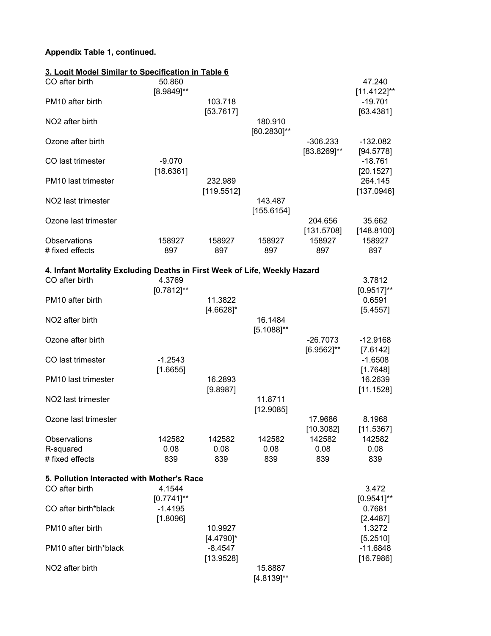## **Appendix Table 1, continued.**

| 3. Logit Model Similar to Specification in Table 6                        |                           |                         |                            |                               |                          |
|---------------------------------------------------------------------------|---------------------------|-------------------------|----------------------------|-------------------------------|--------------------------|
| CO after birth                                                            | 50.860<br>[8.9849]**      |                         |                            |                               | 47.240<br>$[11.4122]$ ** |
| PM10 after birth                                                          |                           | 103.718<br>[53.7617]    |                            |                               | $-19.701$<br>[63.4381]   |
| NO <sub>2</sub> after birth                                               |                           |                         | 180.910<br>[60.2830]**     |                               |                          |
| Ozone after birth                                                         |                           |                         |                            | -306.233<br>$[83.8269]$ **    | $-132.082$<br>[94.5778]  |
| CO last trimester                                                         | $-9.070$<br>[18.6361]     |                         |                            |                               | $-18.761$<br>[20.1527]   |
| PM <sub>10</sub> last trimester                                           |                           | 232.989<br>[119.5512]   |                            |                               | 264.145<br>[137.0946]    |
| NO <sub>2</sub> last trimester                                            |                           |                         | 143.487<br>[155.6154]      |                               |                          |
| Ozone last trimester                                                      |                           |                         |                            | 204.656<br>[131.5708]         | 35.662<br>[148.8100]     |
| Observations<br># fixed effects                                           | 158927<br>897             | 158927<br>897           | 158927<br>897              | 158927<br>897                 | 158927<br>897            |
| 4. Infant Mortality Excluding Deaths in First Week of Life, Weekly Hazard |                           |                         |                            |                               |                          |
| CO after birth                                                            | 4.3769<br>$[0.7812]^{**}$ |                         |                            |                               | 3.7812<br>$[0.9517]$ **  |
| PM10 after birth                                                          |                           | 11.3822<br>$[4.6628]$ * |                            |                               | 0.6591<br>[5.4557]       |
| NO <sub>2</sub> after birth                                               |                           |                         | 16.1484<br>$[5.1088]^{**}$ |                               |                          |
| Ozone after birth                                                         |                           |                         |                            | $-26.7073$<br>$[6.9562]^{**}$ | $-12.9168$<br>[7.6142]   |
| CO last trimester                                                         | $-1.2543$<br>[1.6655]     |                         |                            |                               | $-1.6508$<br>[1.7648]    |
| PM <sub>10</sub> last trimester                                           |                           | 16.2893<br>[9.8987]     |                            |                               | 16.2639<br>[11.1528]     |
| NO <sub>2</sub> last trimester                                            |                           |                         | 11.8711<br>[12.9085]       |                               |                          |
| Ozone last trimester                                                      |                           |                         |                            | 17.9686<br>[10.3082]          | 8.1968<br>[11.5367]      |
| Observations<br>R-squared                                                 | 142582<br>0.08            | 142582<br>0.08          | 142582<br>0.08             | 142582<br>0.08                | 142582<br>0.08           |
| # fixed effects                                                           | 839                       | 839                     | 839                        | 839                           | 839                      |
| 5. Pollution Interacted with Mother's Race                                |                           |                         |                            |                               |                          |
| CO after birth                                                            | 4.1544<br>$[0.7741]$ **   |                         |                            |                               | 3.472<br>$[0.9541]$ **   |
| CO after birth*black                                                      | $-1.4195$<br>[1.8096]     |                         |                            |                               | 0.7681<br>[2.4487]       |
| PM10 after birth                                                          |                           | 10.9927<br>$[4.4790]$ * |                            |                               | 1.3272<br>[5.2510]       |
| PM10 after birth*black                                                    |                           | $-8.4547$<br>[13.9528]  |                            |                               | $-11.6848$<br>[16.7986]  |
| NO <sub>2</sub> after birth                                               |                           |                         | 15.8887<br>$[4.8139]^{**}$ |                               |                          |